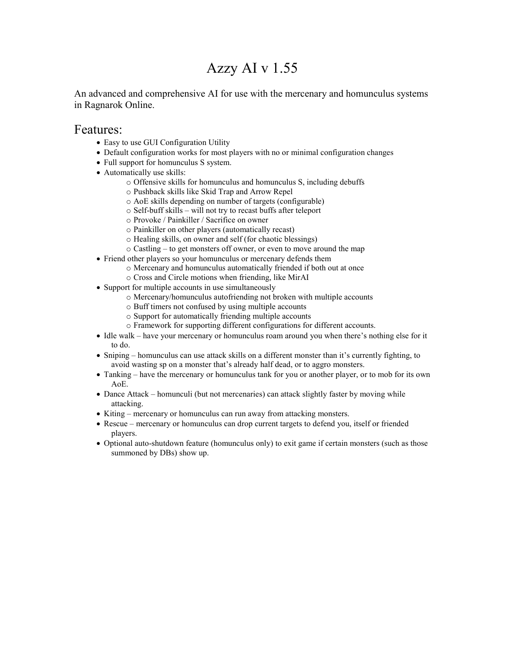# Azzy AI v 1.55

An advanced and comprehensive AI for use with the mercenary and homunculus systems in Ragnarok Online.

### Features:

- Easy to use GUI Configuration Utility
- Default configuration works for most players with no or minimal configuration changes
- Full support for homunculus S system.
- Automatically use skills:
	- o Offensive skills for homunculus and homunculus S, including debuffs
	- o Pushback skills like Skid Trap and Arrow Repel
	- o AoE skills depending on number of targets (configurable)
	- o Self-buff skills will not try to recast buffs after teleport
	- o Provoke / Painkiller / Sacrifice on owner
	- o Painkiller on other players (automatically recast)
	- o Healing skills, on owner and self (for chaotic blessings)
	- o Castling to get monsters off owner, or even to move around the map
- Friend other players so your homunculus or mercenary defends them
	- o Mercenary and homunculus automatically friended if both out at once
		- o Cross and Circle motions when friending, like MirAI
- Support for multiple accounts in use simultaneously
	- o Mercenary/homunculus autofriending not broken with multiple accounts
	- o Buff timers not confused by using multiple accounts
	- o Support for automatically friending multiple accounts
	- o Framework for supporting different configurations for different accounts.
- Idle walk have your mercenary or homunculus roam around you when there's nothing else for it to do.
- Sniping homunculus can use attack skills on a different monster than it's currently fighting, to avoid wasting sp on a monster that's already half dead, or to aggro monsters.
- Tanking have the mercenary or homunculus tank for you or another player, or to mob for its own AoE.
- Dance Attack homunculi (but not mercenaries) can attack slightly faster by moving while attacking.
- Kiting mercenary or homunculus can run away from attacking monsters.
- Rescue mercenary or homunculus can drop current targets to defend you, itself or friended players.
- Optional auto-shutdown feature (homunculus only) to exit game if certain monsters (such as those summoned by DBs) show up.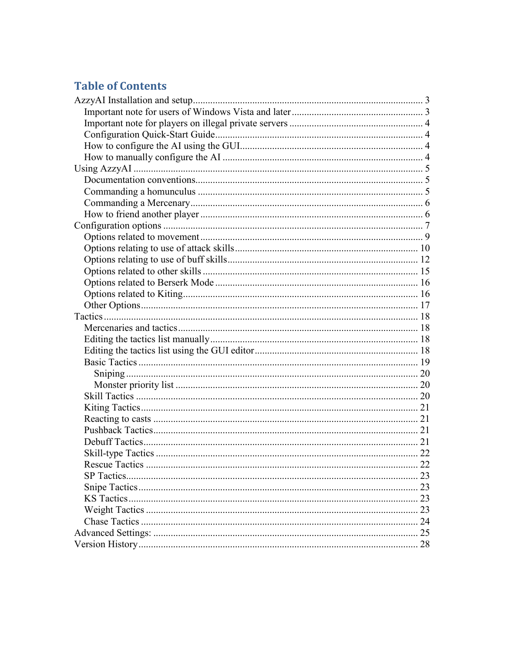## **Table of Contents**

|    | 22 |
|----|----|
|    |    |
|    |    |
|    |    |
| 23 |    |
|    |    |
|    |    |
|    |    |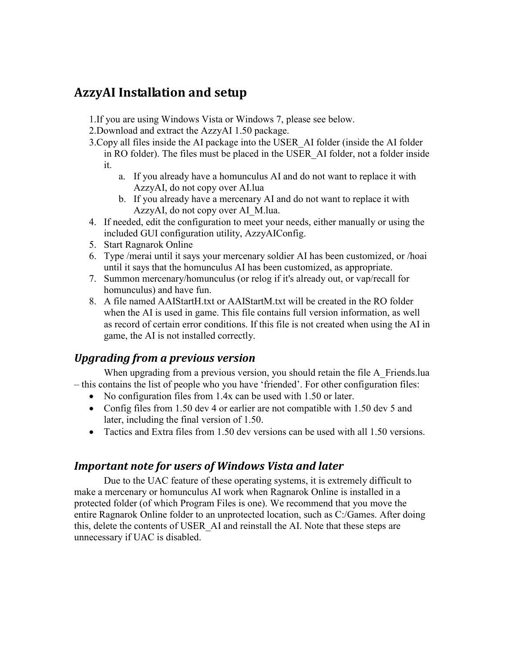## **AzzyAI Installation and setup**

1.If you are using Windows Vista or Windows 7, please see below.

2.Download and extract the AzzyAI 1.50 package.

- 3.Copy all files inside the AI package into the USER\_AI folder (inside the AI folder in RO folder). The files must be placed in the USER\_AI folder, not a folder inside it.
	- a. If you already have a homunculus AI and do not want to replace it with AzzyAI, do not copy over AI.lua
	- b. If you already have a mercenary AI and do not want to replace it with AzzyAI, do not copy over AI\_M.lua.
- 4. If needed, edit the configuration to meet your needs, either manually or using the included GUI configuration utility, AzzyAIConfig.
- 5. Start Ragnarok Online
- 6. Type /merai until it says your mercenary soldier AI has been customized, or /hoai until it says that the homunculus AI has been customized, as appropriate.
- 7. Summon mercenary/homunculus (or relog if it's already out, or vap/recall for homunculus) and have fun.
- 8. A file named AAIStartH.txt or AAIStartM.txt will be created in the RO folder when the AI is used in game. This file contains full version information, as well as record of certain error conditions. If this file is not created when using the AI in game, the AI is not installed correctly.

## *Upgrading from a previous version*

When upgrading from a previous version, you should retain the file A Friends.lua – this contains the list of people who you have 'friended'. For other configuration files:

- No configuration files from 1.4x can be used with 1.50 or later.
- Config files from 1.50 dev 4 or earlier are not compatible with 1.50 dev 5 and later, including the final version of 1.50.
- Tactics and Extra files from 1.50 dev versions can be used with all 1.50 versions.

## *Important note for users of Windows Vista and later*

Due to the UAC feature of these operating systems, it is extremely difficult to make a mercenary or homunculus AI work when Ragnarok Online is installed in a protected folder (of which Program Files is one). We recommend that you move the entire Ragnarok Online folder to an unprotected location, such as C:/Games. After doing this, delete the contents of USER\_AI and reinstall the AI. Note that these steps are unnecessary if UAC is disabled.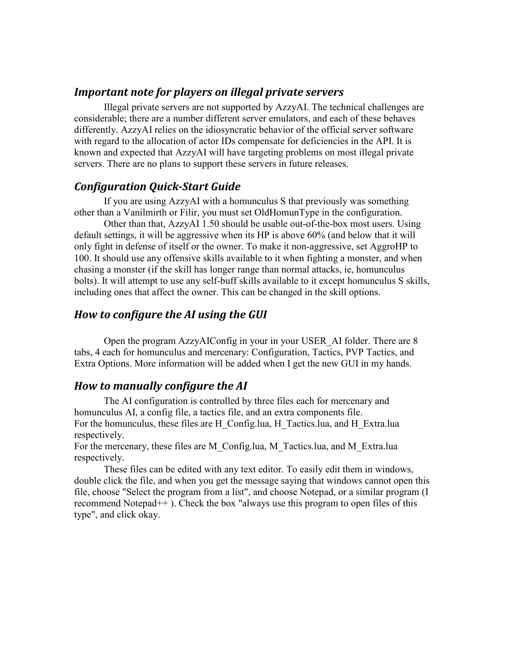### *Important note for players on illegal private servers*

 Illegal private servers are not supported by AzzyAI. The technical challenges are considerable; there are a number different server emulators, and each of these behaves differently. AzzyAI relies on the idiosyncratic behavior of the official server software with regard to the allocation of actor IDs compensate for deficiencies in the API. It is known and expected that AzzyAI will have targeting problems on most illegal private servers. There are no plans to support these servers in future releases.

### *Configuration Quick-Start Guide*

If you are using AzzyAI with a homunculus S that previously was something other than a Vanilmirth or Filir, you must set OldHomunType in the configuration.

Other than that, AzzyAI 1.50 should be usable out-of-the-box most users. Using default settings, it will be aggressive when its HP is above 60% (and below that it will only fight in defense of itself or the owner. To make it non-aggressive, set AggroHP to 100. It should use any offensive skills available to it when fighting a monster, and when chasing a monster (if the skill has longer range than normal attacks, ie, homunculus bolts). It will attempt to use any self-buff skills available to it except homunculus S skills, including ones that affect the owner. This can be changed in the skill options.

### *How to configure the AI using the GUI*

Open the program AzzyAIConfig in your in your USER\_AI folder. There are 8 tabs, 4 each for homunculus and mercenary: Configuration, Tactics, PVP Tactics, and Extra Options. More information will be added when I get the new GUI in my hands.

### *How to manually configure the AI*

The AI configuration is controlled by three files each for mercenary and homunculus AI, a config file, a tactics file, and an extra components file. For the homunculus, these files are H\_Config.lua, H\_Tactics.lua, and H\_Extra.lua respectively.

For the mercenary, these files are M\_Config.lua, M\_Tactics.lua, and M\_Extra.lua respectively.

These files can be edited with any text editor. To easily edit them in windows, double click the file, and when you get the message saying that windows cannot open this file, choose "Select the program from a list", and choose Notepad, or a similar program (I recommend Notepad++ ). Check the box "always use this program to open files of this type", and click okay.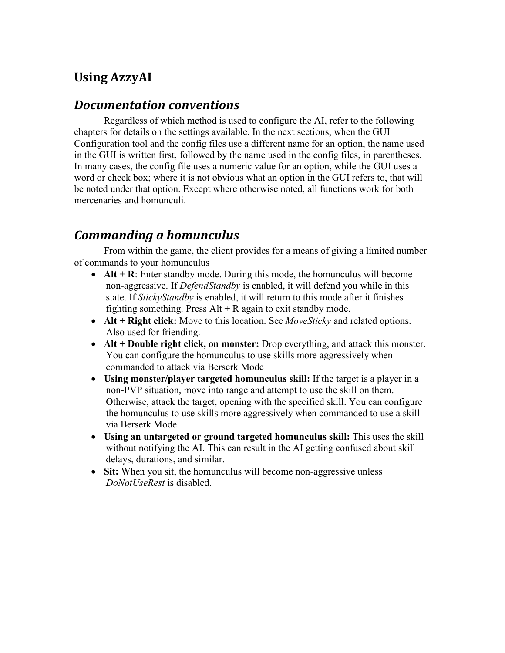# **Using AzzyAI**

## *Documentation conventions*

 Regardless of which method is used to configure the AI, refer to the following chapters for details on the settings available. In the next sections, when the GUI Configuration tool and the config files use a different name for an option, the name used in the GUI is written first, followed by the name used in the config files, in parentheses. In many cases, the config file uses a numeric value for an option, while the GUI uses a word or check box; where it is not obvious what an option in the GUI refers to, that will be noted under that option. Except where otherwise noted, all functions work for both mercenaries and homunculi.

## *Commanding a homunculus*

 From within the game, the client provides for a means of giving a limited number of commands to your homunculus

- **Alt + R**: Enter standby mode. During this mode, the homunculus will become non-aggressive. If *DefendStandby* is enabled, it will defend you while in this state. If *StickyStandby* is enabled, it will return to this mode after it finishes fighting something. Press  $Alt + R$  again to exit standby mode.
- **Alt + Right click:** Move to this location. See *MoveSticky* and related options. Also used for friending.
- **Alt + Double right click, on monster:** Drop everything, and attack this monster. You can configure the homunculus to use skills more aggressively when commanded to attack via Berserk Mode
- **Using monster/player targeted homunculus skill:** If the target is a player in a non-PVP situation, move into range and attempt to use the skill on them. Otherwise, attack the target, opening with the specified skill. You can configure the homunculus to use skills more aggressively when commanded to use a skill via Berserk Mode.
- **Using an untargeted or ground targeted homunculus skill:** This uses the skill without notifying the AI. This can result in the AI getting confused about skill delays, durations, and similar.
- **Sit:** When you sit, the homunculus will become non-aggressive unless *DoNotUseRest* is disabled.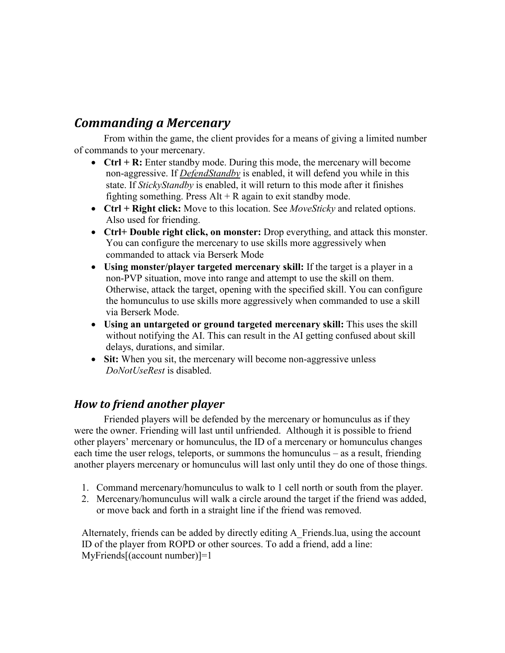## *Commanding a Mercenary*

 From within the game, the client provides for a means of giving a limited number of commands to your mercenary.

- **Ctrl + R:** Enter standby mode. During this mode, the mercenary will become non-aggressive. If *DefendStandby* is enabled, it will defend you while in this state. If *StickyStandby* is enabled, it will return to this mode after it finishes fighting something. Press  $Alt + R$  again to exit standby mode.
- **Ctrl + Right click:** Move to this location. See *MoveSticky* and related options. Also used for friending.
- **Ctrl+ Double right click, on monster:** Drop everything, and attack this monster. You can configure the mercenary to use skills more aggressively when commanded to attack via Berserk Mode
- **Using monster/player targeted mercenary skill:** If the target is a player in a non-PVP situation, move into range and attempt to use the skill on them. Otherwise, attack the target, opening with the specified skill. You can configure the homunculus to use skills more aggressively when commanded to use a skill via Berserk Mode.
- **Using an untargeted or ground targeted mercenary skill:** This uses the skill without notifying the AI. This can result in the AI getting confused about skill delays, durations, and similar.
- **Sit:** When you sit, the mercenary will become non-aggressive unless *DoNotUseRest* is disabled.

## *How to friend another player*

 Friended players will be defended by the mercenary or homunculus as if they were the owner. Friending will last until unfriended. Although it is possible to friend other players' mercenary or homunculus, the ID of a mercenary or homunculus changes each time the user relogs, teleports, or summons the homunculus – as a result, friending another players mercenary or homunculus will last only until they do one of those things.

- 1. Command mercenary/homunculus to walk to 1 cell north or south from the player.
- 2. Mercenary/homunculus will walk a circle around the target if the friend was added, or move back and forth in a straight line if the friend was removed.

Alternately, friends can be added by directly editing A\_Friends.lua, using the account ID of the player from ROPD or other sources. To add a friend, add a line: MyFriends[(account number)]=1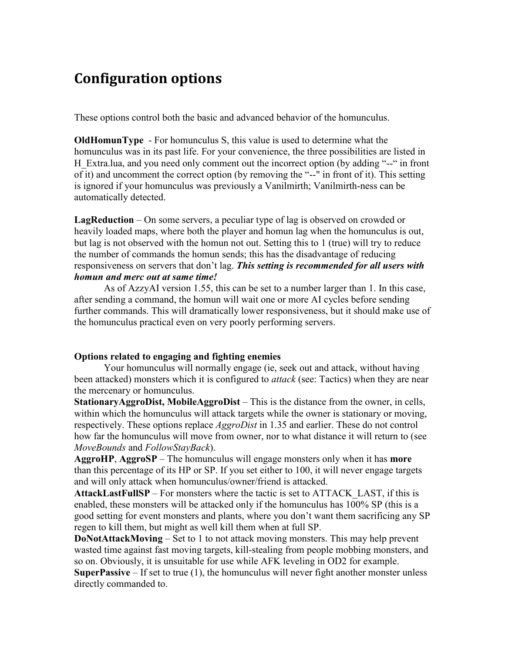# **Configuration options**

These options control both the basic and advanced behavior of the homunculus.

**OldHomunType** - For homunculus S, this value is used to determine what the homunculus was in its past life. For your convenience, the three possibilities are listed in H Extra.lua, and you need only comment out the incorrect option (by adding "--" in front of it) and uncomment the correct option (by removing the "--" in front of it). This setting is ignored if your homunculus was previously a Vanilmirth; Vanilmirth-ness can be automatically detected.

**LagReduction** – On some servers, a peculiar type of lag is observed on crowded or heavily loaded maps, where both the player and homun lag when the homunculus is out, but lag is not observed with the homun not out. Setting this to 1 (true) will try to reduce the number of commands the homun sends; this has the disadvantage of reducing responsiveness on servers that don't lag. *This setting is recommended for all users with homun and merc out at same time!* 

As of AzzyAI version 1.55, this can be set to a number larger than 1. In this case, after sending a command, the homun will wait one or more AI cycles before sending further commands. This will dramatically lower responsiveness, but it should make use of the homunculus practical even on very poorly performing servers.

### **Options related to engaging and fighting enemies**

Your homunculus will normally engage (ie, seek out and attack, without having been attacked) monsters which it is configured to *attack* (see: Tactics) when they are near the mercenary or homunculus.

**StationaryAggroDist, MobileAggroDist** – This is the distance from the owner, in cells, within which the homunculus will attack targets while the owner is stationary or moving. respectively. These options replace *AggroDist* in 1.35 and earlier. These do not control how far the homunculus will move from owner, nor to what distance it will return to (see *MoveBounds* and *FollowStayBack*).

**AggroHP**, **AggroSP** – The homunculus will engage monsters only when it has **more** than this percentage of its HP or SP. If you set either to 100, it will never engage targets and will only attack when homunculus/owner/friend is attacked.

**AttackLastFullSP** – For monsters where the tactic is set to ATTACK\_LAST, if this is enabled, these monsters will be attacked only if the homunculus has 100% SP (this is a good setting for event monsters and plants, where you don't want them sacrificing any SP regen to kill them, but might as well kill them when at full SP.

**DoNotAttackMoving** – Set to 1 to not attack moving monsters. This may help prevent wasted time against fast moving targets, kill-stealing from people mobbing monsters, and so on. Obviously, it is unsuitable for use while AFK leveling in OD2 for example.

**SuperPassive** – If set to true (1), the homunculus will never fight another monster unless directly commanded to.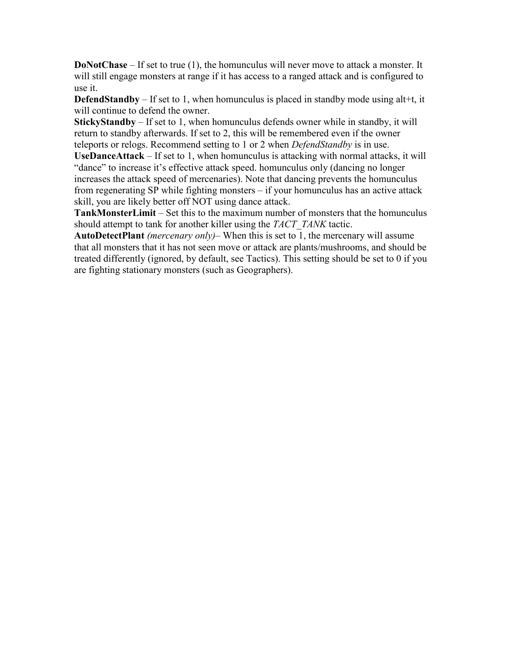**DoNotChase** – If set to true (1), the homunculus will never move to attack a monster. It will still engage monsters at range if it has access to a ranged attack and is configured to use it.

**DefendStandby** – If set to 1, when homunculus is placed in standby mode using alt+t, it will continue to defend the owner.

**StickyStandby** – If set to 1, when homunculus defends owner while in standby, it will return to standby afterwards. If set to 2, this will be remembered even if the owner teleports or relogs. Recommend setting to 1 or 2 when *DefendStandby* is in use.

**UseDanceAttack** – If set to 1, when homunculus is attacking with normal attacks, it will "dance" to increase it's effective attack speed. homunculus only (dancing no longer increases the attack speed of mercenaries). Note that dancing prevents the homunculus from regenerating SP while fighting monsters – if your homunculus has an active attack skill, you are likely better off NOT using dance attack.

**TankMonsterLimit** – Set this to the maximum number of monsters that the homunculus should attempt to tank for another killer using the *TACT\_TANK* tactic.

**AutoDetectPlant** *(mercenary only)*– When this is set to 1, the mercenary will assume that all monsters that it has not seen move or attack are plants/mushrooms, and should be treated differently (ignored, by default, see Tactics). This setting should be set to 0 if you are fighting stationary monsters (such as Geographers).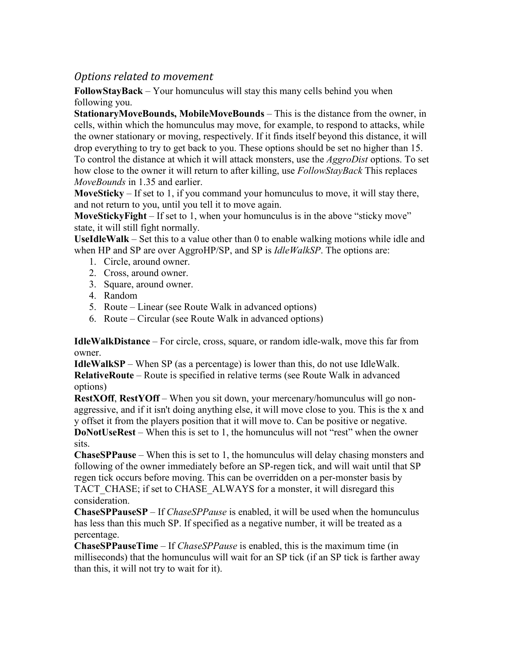## *Options related to movement*

**FollowStayBack** – Your homunculus will stay this many cells behind you when following you.

**StationaryMoveBounds, MobileMoveBounds** – This is the distance from the owner, in cells, within which the homunculus may move, for example, to respond to attacks, while the owner stationary or moving, respectively. If it finds itself beyond this distance, it will drop everything to try to get back to you. These options should be set no higher than 15. To control the distance at which it will attack monsters, use the *AggroDist* options. To set how close to the owner it will return to after killing, use *FollowStayBack* This replaces *MoveBounds* in 1.35 and earlier.

**MoveSticky** – If set to 1, if you command your homunculus to move, it will stay there, and not return to you, until you tell it to move again.

**MoveStickyFight** – If set to 1, when your homunculus is in the above "sticky move" state, it will still fight normally.

**UseIdleWalk** – Set this to a value other than 0 to enable walking motions while idle and when HP and SP are over AggroHP/SP, and SP is *IdleWalkSP*. The options are:

- 1. Circle, around owner.
- 2. Cross, around owner.
- 3. Square, around owner.
- 4. Random
- 5. Route Linear (see Route Walk in advanced options)
- 6. Route Circular (see Route Walk in advanced options)

**IdleWalkDistance** – For circle, cross, square, or random idle-walk, move this far from owner.

**IdleWalkSP** – When SP (as a percentage) is lower than this, do not use IdleWalk. **RelativeRoute** – Route is specified in relative terms (see Route Walk in advanced options)

**RestXOff**, **RestYOff** – When you sit down, your mercenary/homunculus will go nonaggressive, and if it isn't doing anything else, it will move close to you. This is the x and y offset it from the players position that it will move to. Can be positive or negative.

**DoNotUseRest** – When this is set to 1, the homunculus will not "rest" when the owner sits.

**ChaseSPPause** – When this is set to 1, the homunculus will delay chasing monsters and following of the owner immediately before an SP-regen tick, and will wait until that SP regen tick occurs before moving. This can be overridden on a per-monster basis by TACT CHASE; if set to CHASE\_ALWAYS for a monster, it will disregard this consideration.

**ChaseSPPauseSP** – If *ChaseSPPause* is enabled, it will be used when the homunculus has less than this much SP. If specified as a negative number, it will be treated as a percentage.

**ChaseSPPauseTime** – If *ChaseSPPause* is enabled, this is the maximum time (in milliseconds) that the homunculus will wait for an SP tick (if an SP tick is farther away than this, it will not try to wait for it).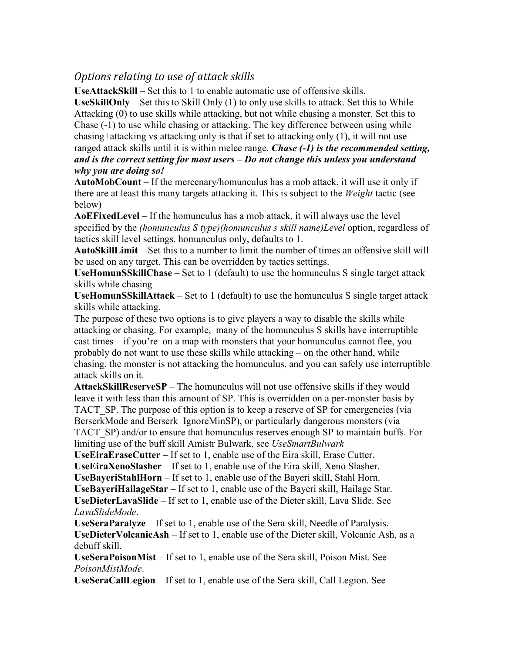## *Options relating to use of attack skills*

**UseAttackSkill** – Set this to 1 to enable automatic use of offensive skills.

**UseSkillOnly** – Set this to Skill Only (1) to only use skills to attack. Set this to While Attacking (0) to use skills while attacking, but not while chasing a monster. Set this to Chase (-1) to use while chasing or attacking. The key difference between using while chasing+attacking vs attacking only is that if set to attacking only (1), it will not use

ranged attack skills until it is within melee range. *Chase (-1) is the recommended setting, and is the correct setting for most users – Do not change this unless you understand why you are doing so!*

**AutoMobCount** – If the mercenary/homunculus has a mob attack, it will use it only if there are at least this many targets attacking it. This is subject to the *Weight* tactic (see below)

**AoEFixedLevel** – If the homunculus has a mob attack, it will always use the level specified by the *(homunculus S type)(homunculus s skill name)Level* option, regardless of tactics skill level settings. homunculus only, defaults to 1.

**AutoSkillLimit** – Set this to a number to limit the number of times an offensive skill will be used on any target. This can be overridden by tactics settings.

**UseHomunSSkillChase** – Set to 1 (default) to use the homunculus S single target attack skills while chasing

**UseHomunSSkillAttack** – Set to 1 (default) to use the homunculus S single target attack skills while attacking.

The purpose of these two options is to give players a way to disable the skills while attacking or chasing. For example, many of the homunculus S skills have interruptible cast times – if you're on a map with monsters that your homunculus cannot flee, you probably do not want to use these skills while attacking – on the other hand, while chasing, the monster is not attacking the homunculus, and you can safely use interruptible attack skills on it.

**AttackSkillReserveSP** – The homunculus will not use offensive skills if they would leave it with less than this amount of SP. This is overridden on a per-monster basis by TACT SP. The purpose of this option is to keep a reserve of SP for emergencies (via BerserkMode and Berserk IgnoreMinSP), or particularly dangerous monsters (via TACT\_SP) and/or to ensure that homunculus reserves enough SP to maintain buffs. For limiting use of the buff skill Amistr Bulwark, see *UseSmartBulwark*

**UseEiraEraseCutter** – If set to 1, enable use of the Eira skill, Erase Cutter.

**UseEiraXenoSlasher** – If set to 1, enable use of the Eira skill, Xeno Slasher.

**UseBayeriStahlHorn** – If set to 1, enable use of the Bayeri skill, Stahl Horn.

**UseBayeriHailageStar** – If set to 1, enable use of the Bayeri skill, Hailage Star.

**UseDieterLavaSlide** – If set to 1, enable use of the Dieter skill, Lava Slide. See *LavaSlideMode*.

**UseSeraParalyze** – If set to 1, enable use of the Sera skill, Needle of Paralysis. **UseDieterVolcanicAsh** – If set to 1, enable use of the Dieter skill, Volcanic Ash, as a debuff skill.

**UseSeraPoisonMist** – If set to 1, enable use of the Sera skill, Poison Mist. See *PoisonMistMode*.

**UseSeraCallLegion** – If set to 1, enable use of the Sera skill, Call Legion. See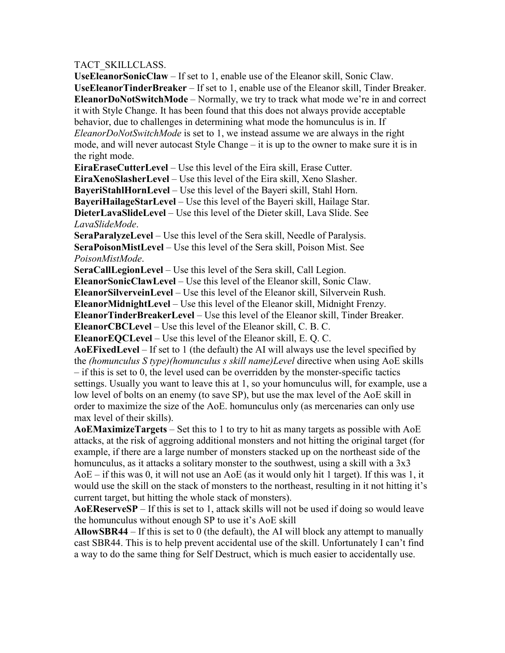### TACT\_SKILLCLASS.

**UseEleanorSonicClaw** – If set to 1, enable use of the Eleanor skill, Sonic Claw. **UseEleanorTinderBreaker** – If set to 1, enable use of the Eleanor skill, Tinder Breaker. **EleanorDoNotSwitchMode** – Normally, we try to track what mode we're in and correct it with Style Change. It has been found that this does not always provide acceptable behavior, due to challenges in determining what mode the homunculus is in. If *EleanorDoNotSwitchMode* is set to 1, we instead assume we are always in the right mode, and will never autocast Style Change – it is up to the owner to make sure it is in the right mode.

**EiraEraseCutterLevel** – Use this level of the Eira skill, Erase Cutter. **EiraXenoSlasherLevel** – Use this level of the Eira skill, Xeno Slasher. **BayeriStahlHornLevel** – Use this level of the Bayeri skill, Stahl Horn. **BayeriHailageStarLevel** – Use this level of the Bayeri skill, Hailage Star. **DieterLavaSlideLevel** – Use this level of the Dieter skill, Lava Slide. See *LavaSlideMode*.

**SeraParalyzeLevel** – Use this level of the Sera skill, Needle of Paralysis. **SeraPoisonMistLevel** – Use this level of the Sera skill, Poison Mist. See *PoisonMistMode*.

**SeraCallLegionLevel** – Use this level of the Sera skill, Call Legion. **EleanorSonicClawLevel** – Use this level of the Eleanor skill, Sonic Claw. **EleanorSilverveinLevel** – Use this level of the Eleanor skill, Silvervein Rush. **EleanorMidnightLevel** – Use this level of the Eleanor skill, Midnight Frenzy. **EleanorTinderBreakerLevel** – Use this level of the Eleanor skill, Tinder Breaker.

**EleanorCBCLevel** – Use this level of the Eleanor skill, C. B. C.

**EleanorEQCLevel** – Use this level of the Eleanor skill, E. Q. C.

**AoEFixedLevel** – If set to 1 (the default) the AI will always use the level specified by the *(homunculus S type)(homunculus s skill name)Level* directive when using AoE skills – if this is set to 0, the level used can be overridden by the monster-specific tactics settings. Usually you want to leave this at 1, so your homunculus will, for example, use a low level of bolts on an enemy (to save SP), but use the max level of the AoE skill in order to maximize the size of the AoE. homunculus only (as mercenaries can only use max level of their skills).

**AoEMaximizeTargets** – Set this to 1 to try to hit as many targets as possible with AoE attacks, at the risk of aggroing additional monsters and not hitting the original target (for example, if there are a large number of monsters stacked up on the northeast side of the homunculus, as it attacks a solitary monster to the southwest, using a skill with a 3x3 AoE – if this was 0, it will not use an AoE (as it would only hit 1 target). If this was 1, it would use the skill on the stack of monsters to the northeast, resulting in it not hitting it's current target, but hitting the whole stack of monsters).

**AoEReserveSP** – If this is set to 1, attack skills will not be used if doing so would leave the homunculus without enough SP to use it's AoE skill

**AllowSBR44** – If this is set to 0 (the default), the AI will block any attempt to manually cast SBR44. This is to help prevent accidental use of the skill. Unfortunately I can't find a way to do the same thing for Self Destruct, which is much easier to accidentally use.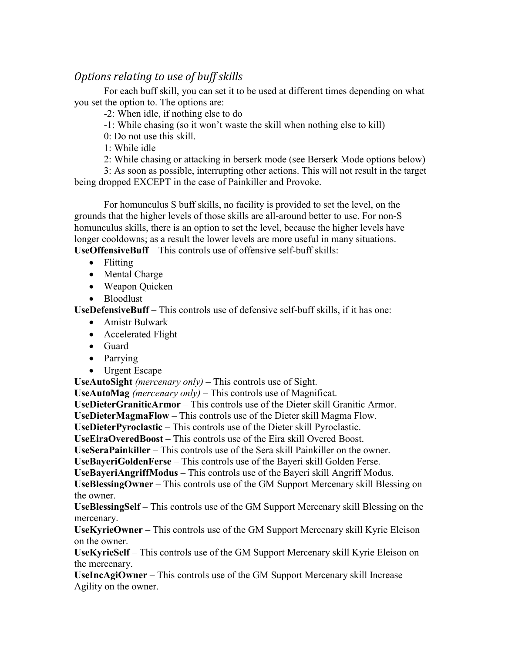## *Options relating to use of buff skills*

 For each buff skill, you can set it to be used at different times depending on what you set the option to. The options are:

-2: When idle, if nothing else to do

-1: While chasing (so it won't waste the skill when nothing else to kill)

0: Do not use this skill.

1: While idle

2: While chasing or attacking in berserk mode (see Berserk Mode options below)

 3: As soon as possible, interrupting other actions. This will not result in the target being dropped EXCEPT in the case of Painkiller and Provoke.

For homunculus S buff skills, no facility is provided to set the level, on the grounds that the higher levels of those skills are all-around better to use. For non-S homunculus skills, there is an option to set the level, because the higher levels have longer cooldowns; as a result the lower levels are more useful in many situations. **UseOffensiveBuff** – This controls use of offensive self-buff skills:

- Flitting
- Mental Charge
- Weapon Ouicken
- Bloodlust

**UseDefensiveBuff** – This controls use of defensive self-buff skills, if it has one:

- Amistr Bulwark
- Accelerated Flight
- Guard
- Parrying
- Urgent Escape

**UseAutoSight** *(mercenary only)* – This controls use of Sight.

**UseAutoMag** *(mercenary only)* – This controls use of Magnificat.

**UseDieterGraniticArmor** – This controls use of the Dieter skill Granitic Armor.

**UseDieterMagmaFlow** – This controls use of the Dieter skill Magma Flow.

**UseDieterPyroclastic** – This controls use of the Dieter skill Pyroclastic.

**UseEiraOveredBoost** – This controls use of the Eira skill Overed Boost.

**UseSeraPainkiller** – This controls use of the Sera skill Painkiller on the owner.

**UseBayeriGoldenFerse** – This controls use of the Bayeri skill Golden Ferse.

**UseBayeriAngriffModus** – This controls use of the Bayeri skill Angriff Modus.

**UseBlessingOwner** – This controls use of the GM Support Mercenary skill Blessing on the owner.

**UseBlessingSelf** – This controls use of the GM Support Mercenary skill Blessing on the mercenary.

**UseKyrieOwner** – This controls use of the GM Support Mercenary skill Kyrie Eleison on the owner.

**UseKyrieSelf** – This controls use of the GM Support Mercenary skill Kyrie Eleison on the mercenary.

**UseIncAgiOwner** – This controls use of the GM Support Mercenary skill Increase Agility on the owner.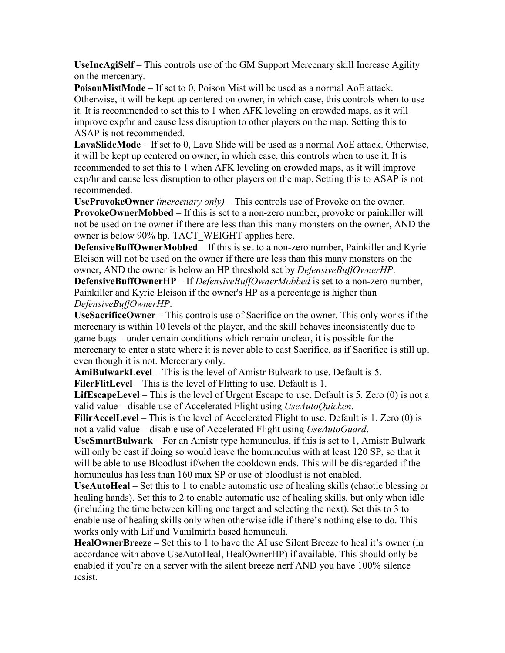**UseIncAgiSelf** – This controls use of the GM Support Mercenary skill Increase Agility on the mercenary.

**PoisonMistMode** – If set to 0, Poison Mist will be used as a normal AoE attack. Otherwise, it will be kept up centered on owner, in which case, this controls when to use it. It is recommended to set this to 1 when AFK leveling on crowded maps, as it will improve exp/hr and cause less disruption to other players on the map. Setting this to ASAP is not recommended.

**LavaSlideMode** – If set to 0, Lava Slide will be used as a normal AoE attack. Otherwise, it will be kept up centered on owner, in which case, this controls when to use it. It is recommended to set this to 1 when AFK leveling on crowded maps, as it will improve exp/hr and cause less disruption to other players on the map. Setting this to ASAP is not recommended.

**UseProvokeOwner** *(mercenary only)* – This controls use of Provoke on the owner. **ProvokeOwnerMobbed** – If this is set to a non-zero number, provoke or painkiller will not be used on the owner if there are less than this many monsters on the owner, AND the owner is below 90% hp. TACT\_WEIGHT applies here.

**DefensiveBuffOwnerMobbed** – If this is set to a non-zero number, Painkiller and Kyrie Eleison will not be used on the owner if there are less than this many monsters on the owner, AND the owner is below an HP threshold set by *DefensiveBuffOwnerHP*.

**DefensiveBuffOwnerHP** – If *DefensiveBuffOwnerMobbed* is set to a non-zero number, Painkiller and Kyrie Eleison if the owner's HP as a percentage is higher than *DefensiveBuffOwnerHP*.

**UseSacrificeOwner** – This controls use of Sacrifice on the owner. This only works if the mercenary is within 10 levels of the player, and the skill behaves inconsistently due to game bugs – under certain conditions which remain unclear, it is possible for the mercenary to enter a state where it is never able to cast Sacrifice, as if Sacrifice is still up, even though it is not. Mercenary only.

**AmiBulwarkLevel** – This is the level of Amistr Bulwark to use. Default is 5.

**FilerFlitLevel** – This is the level of Flitting to use. Default is 1.

**LifEscapeLevel** – This is the level of Urgent Escape to use. Default is 5. Zero (0) is not a valid value – disable use of Accelerated Flight using *UseAutoQuicken*.

**FilirAccelLevel** – This is the level of Accelerated Flight to use. Default is 1. Zero (0) is not a valid value – disable use of Accelerated Flight using *UseAutoGuard*.

**UseSmartBulwark** – For an Amistr type homunculus, if this is set to 1, Amistr Bulwark will only be cast if doing so would leave the homunculus with at least 120 SP, so that it will be able to use Bloodlust if/when the cooldown ends. This will be disregarded if the homunculus has less than 160 max SP or use of bloodlust is not enabled.

**UseAutoHeal** – Set this to 1 to enable automatic use of healing skills (chaotic blessing or healing hands). Set this to 2 to enable automatic use of healing skills, but only when idle (including the time between killing one target and selecting the next). Set this to 3 to enable use of healing skills only when otherwise idle if there's nothing else to do. This works only with Lif and Vanilmirth based homunculi.

**HealOwnerBreeze** – Set this to 1 to have the AI use Silent Breeze to heal it's owner (in accordance with above UseAutoHeal, HealOwnerHP) if available. This should only be enabled if you're on a server with the silent breeze nerf AND you have 100% silence resist.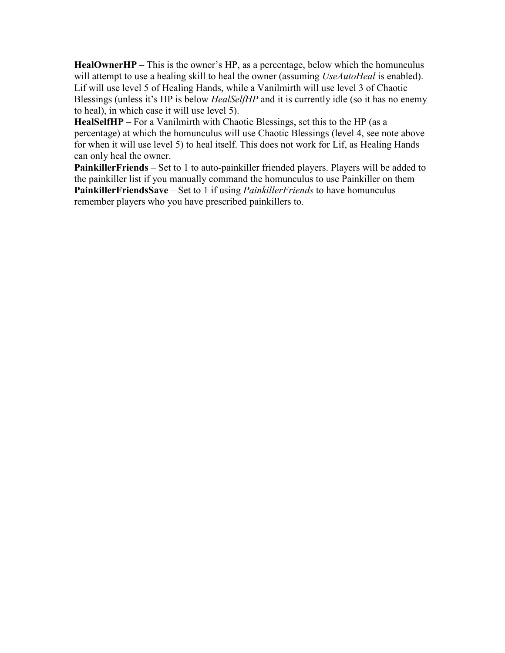**HealOwnerHP** – This is the owner's HP, as a percentage, below which the homunculus will attempt to use a healing skill to heal the owner (assuming *UseAutoHeal* is enabled). Lif will use level 5 of Healing Hands, while a Vanilmirth will use level 3 of Chaotic Blessings (unless it's HP is below *HealSelfHP* and it is currently idle (so it has no enemy to heal), in which case it will use level 5).

**HealSelfHP** – For a Vanilmirth with Chaotic Blessings, set this to the HP (as a percentage) at which the homunculus will use Chaotic Blessings (level 4, see note above for when it will use level 5) to heal itself. This does not work for Lif, as Healing Hands can only heal the owner.

**PainkillerFriends** – Set to 1 to auto-painkiller friended players. Players will be added to the painkiller list if you manually command the homunculus to use Painkiller on them **PainkillerFriendsSave** – Set to 1 if using *PainkillerFriends* to have homunculus remember players who you have prescribed painkillers to.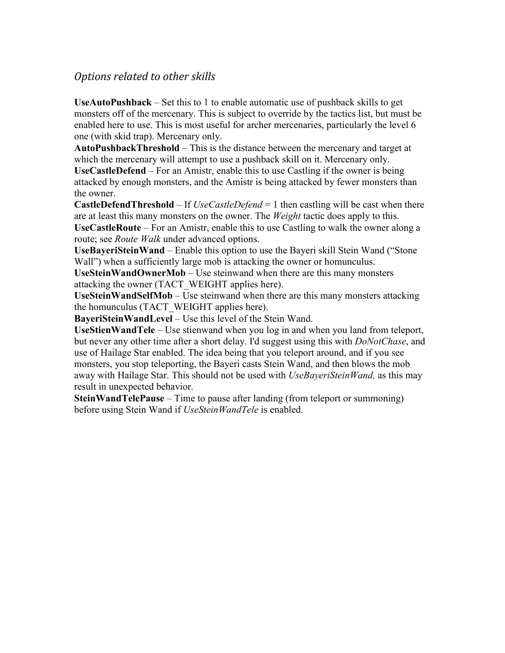### *Options related to other skills*

**UseAutoPushback** – Set this to 1 to enable automatic use of pushback skills to get monsters off of the mercenary. This is subject to override by the tactics list, but must be enabled here to use. This is most useful for archer mercenaries, particularly the level 6 one (with skid trap). Mercenary only.

**AutoPushbackThreshold** – This is the distance between the mercenary and target at which the mercenary will attempt to use a pushback skill on it. Mercenary only. **UseCastleDefend** – For an Amistr, enable this to use Castling if the owner is being attacked by enough monsters, and the Amistr is being attacked by fewer monsters than the owner.

**CastleDefendThreshold** – If *UseCastleDefend* = 1 then castling will be cast when there are at least this many monsters on the owner. The *Weight* tactic does apply to this. **UseCastleRoute** – For an Amistr, enable this to use Castling to walk the owner along a route; see *Route Walk* under advanced options.

**UseBayeriSteinWand** – Enable this option to use the Bayeri skill Stein Wand ("Stone Wall") when a sufficiently large mob is attacking the owner or homunculus.

**UseSteinWandOwnerMob** – Use steinwand when there are this many monsters attacking the owner (TACT\_WEIGHT applies here).

**UseSteinWandSelfMob** – Use steinwand when there are this many monsters attacking the homunculus (TACT\_WEIGHT applies here).

**BayeriSteinWandLevel** – Use this level of the Stein Wand.

**UseStienWandTele** – Use stienwand when you log in and when you land from teleport, but never any other time after a short delay. I'd suggest using this with *DoNotChase*, and use of Hailage Star enabled. The idea being that you teleport around, and if you see monsters, you stop teleporting, the Bayeri casts Stein Wand, and then blows the mob away with Hailage Star. This should not be used with *UseBayeriSteinWand,* as this may result in unexpected behavior.

**SteinWandTelePause** – Time to pause after landing (from teleport or summoning) before using Stein Wand if *UseSteinWandTele* is enabled.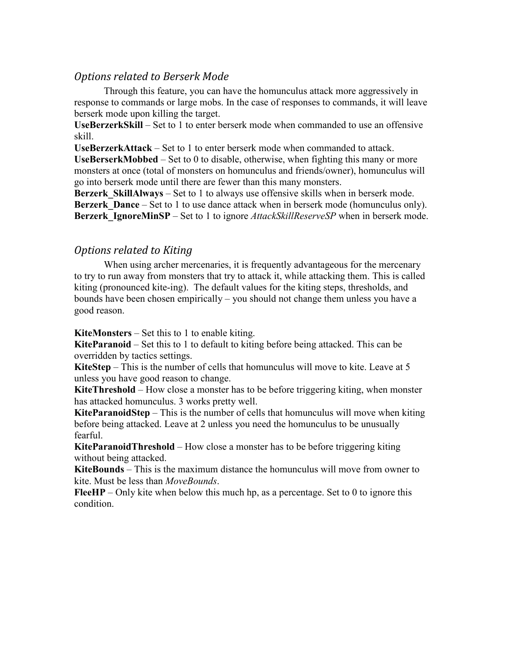### *Options related to Berserk Mode*

 Through this feature, you can have the homunculus attack more aggressively in response to commands or large mobs. In the case of responses to commands, it will leave berserk mode upon killing the target.

**UseBerzerkSkill** – Set to 1 to enter berserk mode when commanded to use an offensive skill.

**UseBerzerkAttack** – Set to 1 to enter berserk mode when commanded to attack.

**UseBerserkMobbed** – Set to 0 to disable, otherwise, when fighting this many or more monsters at once (total of monsters on homunculus and friends/owner), homunculus will go into berserk mode until there are fewer than this many monsters.

**Berzerk SkillAlways** – Set to 1 to always use offensive skills when in berserk mode. **Berzerk** Dance – Set to 1 to use dance attack when in berserk mode (homunculus only). **Berzerk** IgnoreMinSP – Set to 1 to ignore *AttackSkillReserveSP* when in berserk mode.

### *Options related to Kiting*

When using archer mercenaries, it is frequently advantageous for the mercenary to try to run away from monsters that try to attack it, while attacking them. This is called kiting (pronounced kite-ing). The default values for the kiting steps, thresholds, and bounds have been chosen empirically – you should not change them unless you have a good reason.

**KiteMonsters** – Set this to 1 to enable kiting.

**KiteParanoid** – Set this to 1 to default to kiting before being attacked. This can be overridden by tactics settings.

**KiteStep** – This is the number of cells that homunculus will move to kite. Leave at 5 unless you have good reason to change.

**KiteThreshold** – How close a monster has to be before triggering kiting, when monster has attacked homunculus. 3 works pretty well.

**KiteParanoidStep** – This is the number of cells that homunculus will move when kiting before being attacked. Leave at 2 unless you need the homunculus to be unusually fearful.

**KiteParanoidThreshold** – How close a monster has to be before triggering kiting without being attacked.

**KiteBounds** – This is the maximum distance the homunculus will move from owner to kite. Must be less than *MoveBounds*.

**FleeHP** – Only kite when below this much hp, as a percentage. Set to 0 to ignore this condition.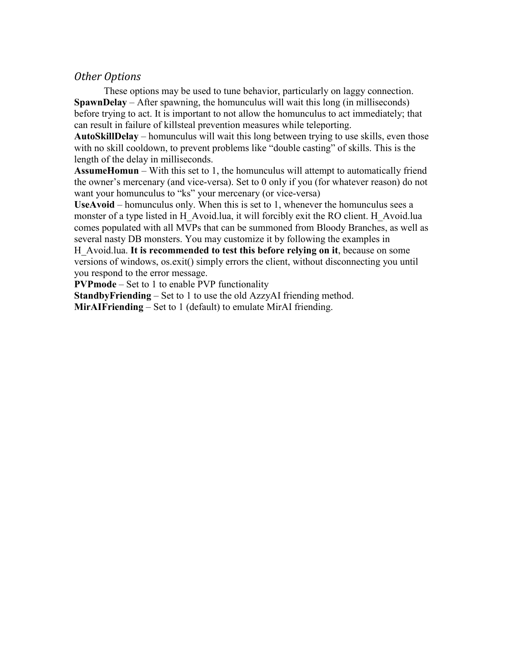### *Other Options*

These options may be used to tune behavior, particularly on laggy connection. **SpawnDelay** – After spawning, the homunculus will wait this long (in milliseconds) before trying to act. It is important to not allow the homunculus to act immediately; that can result in failure of killsteal prevention measures while teleporting.

**AutoSkillDelay** – homunculus will wait this long between trying to use skills, even those with no skill cooldown, to prevent problems like "double casting" of skills. This is the length of the delay in milliseconds.

**AssumeHomun** – With this set to 1, the homunculus will attempt to automatically friend the owner's mercenary (and vice-versa). Set to 0 only if you (for whatever reason) do not want your homunculus to "ks" your mercenary (or vice-versa)

**UseAvoid** – homunculus only. When this is set to 1, whenever the homunculus sees a monster of a type listed in H\_Avoid.lua, it will forcibly exit the RO client. H\_Avoid.lua comes populated with all MVPs that can be summoned from Bloody Branches, as well as several nasty DB monsters. You may customize it by following the examples in

H\_Avoid.lua. **It is recommended to test this before relying on it**, because on some versions of windows, os.exit() simply errors the client, without disconnecting you until you respond to the error message.

**PVPmode** – Set to 1 to enable PVP functionality

**StandbyFriending** – Set to 1 to use the old AzzyAI friending method.

**MirAIFriending** – Set to 1 (default) to emulate MirAI friending.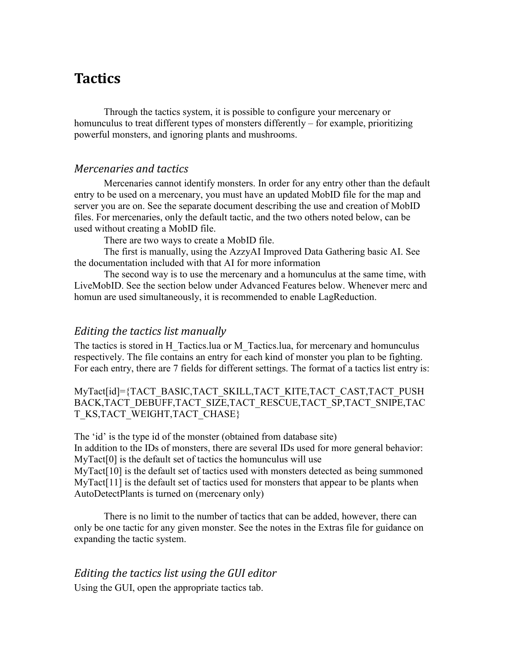# **Tactics**

Through the tactics system, it is possible to configure your mercenary or homunculus to treat different types of monsters differently – for example, prioritizing powerful monsters, and ignoring plants and mushrooms.

### *Mercenaries and tactics*

Mercenaries cannot identify monsters. In order for any entry other than the default entry to be used on a mercenary, you must have an updated MobID file for the map and server you are on. See the separate document describing the use and creation of MobID files. For mercenaries, only the default tactic, and the two others noted below, can be used without creating a MobID file.

There are two ways to create a MobID file.

The first is manually, using the AzzyAI Improved Data Gathering basic AI. See the documentation included with that AI for more information

The second way is to use the mercenary and a homunculus at the same time, with LiveMobID. See the section below under Advanced Features below. Whenever merc and homun are used simultaneously, it is recommended to enable LagReduction.

### *Editing the tactics list manually*

The tactics is stored in H\_Tactics.lua or M\_Tactics.lua, for mercenary and homunculus respectively. The file contains an entry for each kind of monster you plan to be fighting. For each entry, there are 7 fields for different settings. The format of a tactics list entry is:

MyTact[id]={TACT\_BASIC,TACT\_SKILL,TACT\_KITE,TACT\_CAST,TACT\_PUSH BACK,TACT\_DEBUFF,TACT\_SIZE,TACT\_RESCUE,TACT\_SP,TACT\_SNIPE,TAC T\_KS,TACT\_WEIGHT,TACT\_CHASE}

The 'id' is the type id of the monster (obtained from database site) In addition to the IDs of monsters, there are several IDs used for more general behavior: MyTact<sup>[0]</sup> is the default set of tactics the homunculus will use MyTact[10] is the default set of tactics used with monsters detected as being summoned MyTact<sup>[11]</sup> is the default set of tactics used for monsters that appear to be plants when AutoDetectPlants is turned on (mercenary only)

There is no limit to the number of tactics that can be added, however, there can only be one tactic for any given monster. See the notes in the Extras file for guidance on expanding the tactic system.

### *Editing the tactics list using the GUI editor*

Using the GUI, open the appropriate tactics tab.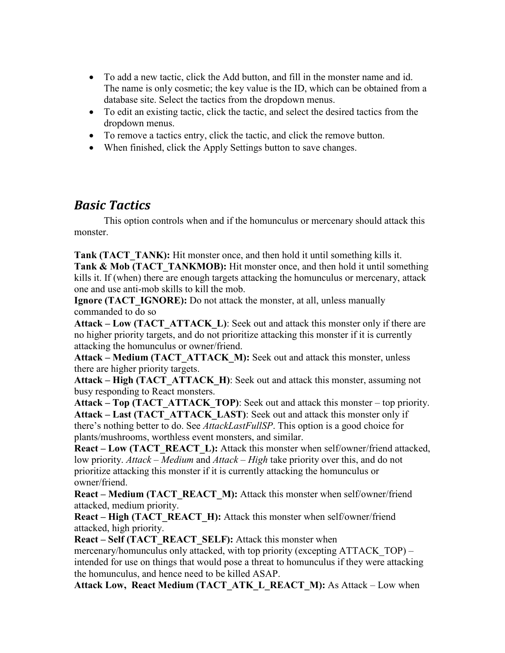- To add a new tactic, click the Add button, and fill in the monster name and id. The name is only cosmetic; the key value is the ID, which can be obtained from a database site. Select the tactics from the dropdown menus.
- To edit an existing tactic, click the tactic, and select the desired tactics from the dropdown menus.
- To remove a tactics entry, click the tactic, and click the remove button.
- When finished, click the Apply Settings button to save changes.

## *Basic Tactics*

This option controls when and if the homunculus or mercenary should attack this monster.

**Tank (TACT\_TANK):** Hit monster once, and then hold it until something kills it. **Tank & Mob (TACT TANKMOB):** Hit monster once, and then hold it until something kills it. If (when) there are enough targets attacking the homunculus or mercenary, attack one and use anti-mob skills to kill the mob.

**Ignore (TACT\_IGNORE):** Do not attack the monster, at all, unless manually commanded to do so

**Attack – Low (TACT\_ATTACK\_L)**: Seek out and attack this monster only if there are no higher priority targets, and do not prioritize attacking this monster if it is currently attacking the homunculus or owner/friend.

**Attack – Medium (TACT\_ATTACK\_M):** Seek out and attack this monster, unless there are higher priority targets.

**Attack – High (TACT\_ATTACK\_H)**: Seek out and attack this monster, assuming not busy responding to React monsters.

**Attack – Top (TACT\_ATTACK\_TOP)**: Seek out and attack this monster – top priority. **Attack – Last (TACT\_ATTACK\_LAST)**: Seek out and attack this monster only if there's nothing better to do. See *AttackLastFullSP*. This option is a good choice for plants/mushrooms, worthless event monsters, and similar.

**React – Low (TACT\_REACT\_L):** Attack this monster when self/owner/friend attacked, low priority. *Attack – Medium* and *Attack – High* take priority over this, and do not prioritize attacking this monster if it is currently attacking the homunculus or owner/friend.

**React – Medium (TACT\_REACT\_M):** Attack this monster when self/owner/friend attacked, medium priority.

**React – High (TACT\_REACT\_H):** Attack this monster when self/owner/friend attacked, high priority.

**React – Self (TACT\_REACT\_SELF):** Attack this monster when mercenary/homunculus only attacked, with top priority (excepting ATTACK TOP) – intended for use on things that would pose a threat to homunculus if they were attacking the homunculus, and hence need to be killed ASAP.

**Attack Low, React Medium (TACT\_ATK\_L\_REACT\_M):** As Attack – Low when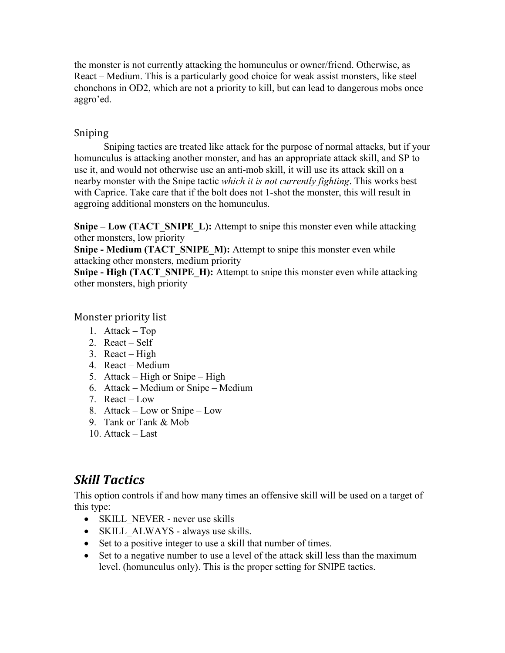the monster is not currently attacking the homunculus or owner/friend. Otherwise, as React – Medium. This is a particularly good choice for weak assist monsters, like steel chonchons in OD2, which are not a priority to kill, but can lead to dangerous mobs once aggro'ed.

### Sniping

Sniping tactics are treated like attack for the purpose of normal attacks, but if your homunculus is attacking another monster, and has an appropriate attack skill, and SP to use it, and would not otherwise use an anti-mob skill, it will use its attack skill on a nearby monster with the Snipe tactic *which it is not currently fighting*. This works best with Caprice. Take care that if the bolt does not 1-shot the monster, this will result in aggroing additional monsters on the homunculus.

**Snipe – Low (TACT\_SNIPE\_L):** Attempt to snipe this monster even while attacking other monsters, low priority

**Snipe - Medium (TACT\_SNIPE\_M):** Attempt to snipe this monster even while attacking other monsters, medium priority

**Snipe - High (TACT\_SNIPE\_H):** Attempt to snipe this monster even while attacking other monsters, high priority

### Monster priority list

- 1. Attack Top
- 2. React Self
- 3. React High
- 4. React Medium
- 5. Attack High or Snipe High
- 6. Attack Medium or Snipe Medium
- 7. React Low
- 8. Attack Low or Snipe Low
- 9. Tank or Tank & Mob
- 10. Attack Last

# *Skill Tactics*

This option controls if and how many times an offensive skill will be used on a target of this type:

- SKILL NEVER never use skills
- SKILL\_ALWAYS always use skills.
- Set to a positive integer to use a skill that number of times.
- Set to a negative number to use a level of the attack skill less than the maximum level. (homunculus only). This is the proper setting for SNIPE tactics.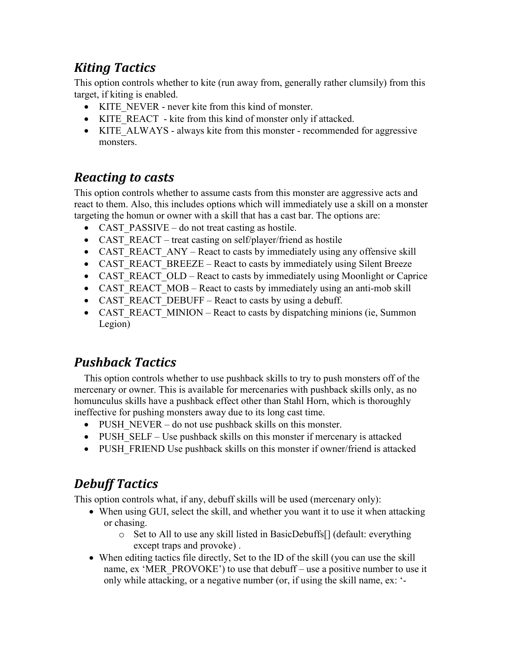# *Kiting Tactics*

This option controls whether to kite (run away from, generally rather clumsily) from this target, if kiting is enabled.

- KITE\_NEVER never kite from this kind of monster.
- KITE\_REACT kite from this kind of monster only if attacked.
- KITE ALWAYS always kite from this monster recommended for aggressive monsters.

# *Reacting to casts*

This option controls whether to assume casts from this monster are aggressive acts and react to them. Also, this includes options which will immediately use a skill on a monster targeting the homun or owner with a skill that has a cast bar. The options are:

- CAST PASSIVE do not treat casting as hostile.
- CAST\_REACT treat casting on self/player/friend as hostile
- CAST\_REACT\_ANY React to casts by immediately using any offensive skill
- CAST\_REACT\_BREEZE React to casts by immediately using Silent Breeze
- CAST\_REACT\_OLD React to casts by immediately using Moonlight or Caprice
- CAST\_REACT\_MOB React to casts by immediately using an anti-mob skill
- CAST\_REACT\_DEBUFF React to casts by using a debuff.
- CAST\_REACT\_MINION React to casts by dispatching minions (ie, Summon Legion)

# *Pushback Tactics*

This option controls whether to use pushback skills to try to push monsters off of the mercenary or owner. This is available for mercenaries with pushback skills only, as no homunculus skills have a pushback effect other than Stahl Horn, which is thoroughly ineffective for pushing monsters away due to its long cast time.

- PUSH NEVER do not use pushback skills on this monster.
- PUSH SELF Use pushback skills on this monster if mercenary is attacked
- PUSH\_FRIEND Use pushback skills on this monster if owner/friend is attacked

# *Debuff Tactics*

This option controls what, if any, debuff skills will be used (mercenary only):

- When using GUI, select the skill, and whether you want it to use it when attacking or chasing.
	- o Set to All to use any skill listed in BasicDebuffs[] (default: everything except traps and provoke) .
- When editing tactics file directly, Set to the ID of the skill (you can use the skill name, ex 'MER\_PROVOKE') to use that debuff – use a positive number to use it only while attacking, or a negative number (or, if using the skill name, ex: '-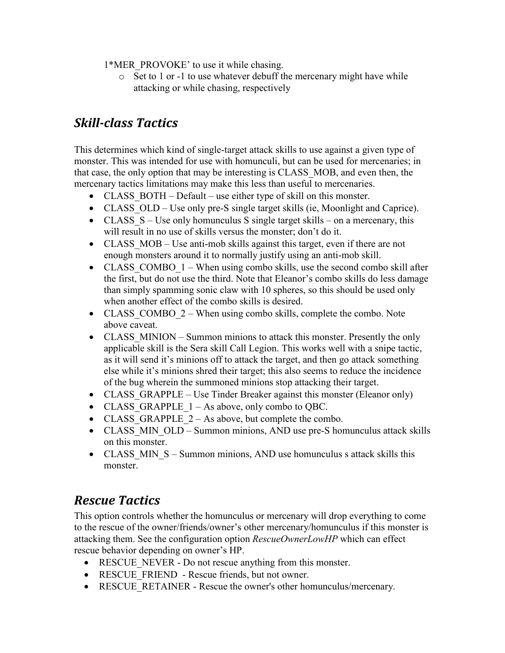1\*MER\_PROVOKE' to use it while chasing.

o Set to 1 or -1 to use whatever debuff the mercenary might have while attacking or while chasing, respectively

# *Skill-class Tactics*

This determines which kind of single-target attack skills to use against a given type of monster. This was intended for use with homunculi, but can be used for mercenaries; in that case, the only option that may be interesting is CLASS\_MOB, and even then, the mercenary tactics limitations may make this less than useful to mercenaries.

- CLASS BOTH Default use either type of skill on this monster.
- CLASS OLD Use only pre-S single target skills (ie, Moonlight and Caprice).
- CLASS  $S$  Use only homunculus S single target skills on a mercenary, this will result in no use of skills versus the monster; don't do it.
- CLASS MOB Use anti-mob skills against this target, even if there are not enough monsters around it to normally justify using an anti-mob skill.
- CLASS COMBO  $1 -$  When using combo skills, use the second combo skill after the first, but do not use the third. Note that Eleanor's combo skills do less damage than simply spamming sonic claw with 10 spheres, so this should be used only when another effect of the combo skills is desired.
- CLASS COMBO  $2$  When using combo skills, complete the combo. Note above caveat.
- CLASS MINION Summon minions to attack this monster. Presently the only applicable skill is the Sera skill Call Legion. This works well with a snipe tactic, as it will send it's minions off to attack the target, and then go attack something else while it's minions shred their target; this also seems to reduce the incidence of the bug wherein the summoned minions stop attacking their target.
- CLASS GRAPPLE Use Tinder Breaker against this monster (Eleanor only)
- CLASS GRAPPLE  $1 As$  above, only combo to QBC.
- CLASS GRAPPLE  $2 As above, but complete the combo.$
- CLASS MIN OLD Summon minions, AND use pre-S homunculus attack skills on this monster.
- CLASS MIN S Summon minions, AND use homunculus s attack skills this monster.

# *Rescue Tactics*

This option controls whether the homunculus or mercenary will drop everything to come to the rescue of the owner/friends/owner's other mercenary/homunculus if this monster is attacking them. See the configuration option *RescueOwnerLowHP* which can effect rescue behavior depending on owner's HP.

- RESCUE NEVER Do not rescue anything from this monster.
- RESCUE FRIEND Rescue friends, but not owner.
- RESCUE RETAINER Rescue the owner's other homunculus/mercenary.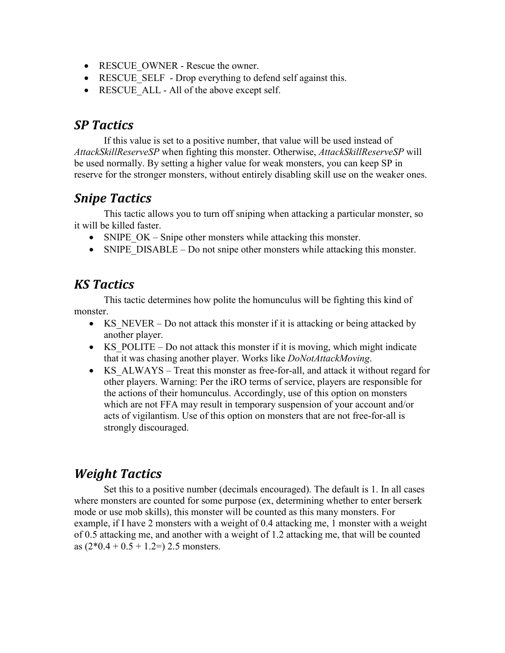- RESCUE OWNER Rescue the owner.
- RESCUE SELF Drop everything to defend self against this.
- RESCUE ALL All of the above except self.

## *SP Tactics*

If this value is set to a positive number, that value will be used instead of *AttackSkillReserveSP* when fighting this monster. Otherwise, *AttackSkillReserveSP* will be used normally. By setting a higher value for weak monsters, you can keep SP in reserve for the stronger monsters, without entirely disabling skill use on the weaker ones.

## *Snipe Tactics*

 This tactic allows you to turn off sniping when attacking a particular monster, so it will be killed faster.

- SNIPE  $OK -$  Snipe other monsters while attacking this monster.
- SNIPE DISABLE Do not snipe other monsters while attacking this monster.

## *KS Tactics*

 This tactic determines how polite the homunculus will be fighting this kind of monster.

- KS NEVER Do not attack this monster if it is attacking or being attacked by another player.
- KS POLITE Do not attack this monster if it is moving, which might indicate that it was chasing another player. Works like *DoNotAttackMoving*.
- KS ALWAYS Treat this monster as free-for-all, and attack it without regard for other players. Warning: Per the iRO terms of service, players are responsible for the actions of their homunculus. Accordingly, use of this option on monsters which are not FFA may result in temporary suspension of your account and/or acts of vigilantism. Use of this option on monsters that are not free-for-all is strongly discouraged.

# *Weight Tactics*

Set this to a positive number (decimals encouraged). The default is 1. In all cases where monsters are counted for some purpose (ex, determining whether to enter berserk mode or use mob skills), this monster will be counted as this many monsters. For example, if I have 2 monsters with a weight of 0.4 attacking me, 1 monster with a weight of 0.5 attacking me, and another with a weight of 1.2 attacking me, that will be counted as  $(2*0.4 + 0.5 + 1.2=)$  2.5 monsters.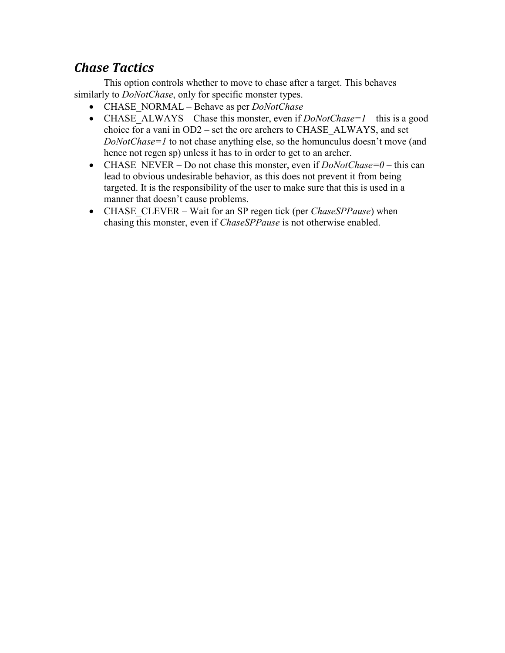# *Chase Tactics*

This option controls whether to move to chase after a target. This behaves similarly to *DoNotChase*, only for specific monster types.

- CHASE\_NORMAL Behave as per *DoNotChase*
- CHASE ALWAYS Chase this monster, even if  $DoNotChase=1$  this is a good choice for a vani in OD2 – set the orc archers to CHASE\_ALWAYS, and set *DoNotChase=1* to not chase anything else, so the homunculus doesn't move (and hence not regen sp) unless it has to in order to get to an archer.
- CHASE NEVER Do not chase this monster, even if  $DoNotChase=0$  this can lead to obvious undesirable behavior, as this does not prevent it from being targeted. It is the responsibility of the user to make sure that this is used in a manner that doesn't cause problems.
- CHASE CLEVER Wait for an SP regen tick (per *ChaseSPPause*) when chasing this monster, even if *ChaseSPPause* is not otherwise enabled.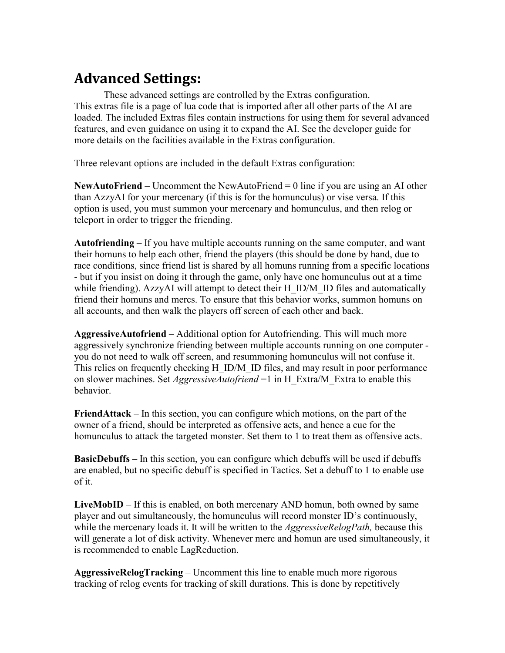# **Advanced Settings:**

These advanced settings are controlled by the Extras configuration. This extras file is a page of lua code that is imported after all other parts of the AI are loaded. The included Extras files contain instructions for using them for several advanced features, and even guidance on using it to expand the AI. See the developer guide for more details on the facilities available in the Extras configuration.

Three relevant options are included in the default Extras configuration:

**NewAutoFriend** – Uncomment the NewAutoFriend = 0 line if you are using an AI other than AzzyAI for your mercenary (if this is for the homunculus) or vise versa. If this option is used, you must summon your mercenary and homunculus, and then relog or teleport in order to trigger the friending.

**Autofriending** – If you have multiple accounts running on the same computer, and want their homuns to help each other, friend the players (this should be done by hand, due to race conditions, since friend list is shared by all homuns running from a specific locations - but if you insist on doing it through the game, only have one homunculus out at a time while friending). AzzyAI will attempt to detect their H\_ID/M\_ID files and automatically friend their homuns and mercs. To ensure that this behavior works, summon homuns on all accounts, and then walk the players off screen of each other and back.

**AggressiveAutofriend** – Additional option for Autofriending. This will much more aggressively synchronize friending between multiple accounts running on one computer you do not need to walk off screen, and resummoning homunculus will not confuse it. This relies on frequently checking H\_ID/M\_ID files, and may result in poor performance on slower machines. Set *AggressiveAutofriend* =1 in H\_Extra/M\_Extra to enable this behavior.

**FriendAttack** – In this section, you can configure which motions, on the part of the owner of a friend, should be interpreted as offensive acts, and hence a cue for the homunculus to attack the targeted monster. Set them to 1 to treat them as offensive acts.

**BasicDebuffs** – In this section, you can configure which debuffs will be used if debuffs are enabled, but no specific debuff is specified in Tactics. Set a debuff to 1 to enable use of it.

**LiveMobID** – If this is enabled, on both mercenary AND homun, both owned by same player and out simultaneously, the homunculus will record monster ID's continuously, while the mercenary loads it. It will be written to the *AggressiveRelogPath,* because this will generate a lot of disk activity. Whenever merc and homun are used simultaneously, it is recommended to enable LagReduction.

**AggressiveRelogTracking** – Uncomment this line to enable much more rigorous tracking of relog events for tracking of skill durations. This is done by repetitively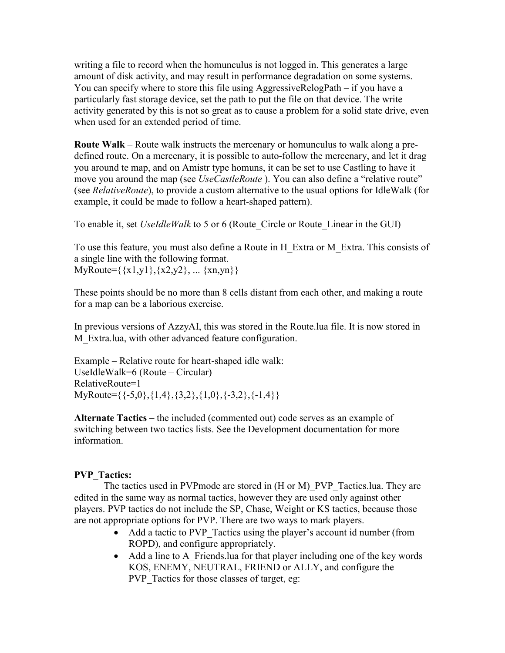writing a file to record when the homunculus is not logged in. This generates a large amount of disk activity, and may result in performance degradation on some systems. You can specify where to store this file using AggressiveRelogPath – if you have a particularly fast storage device, set the path to put the file on that device. The write activity generated by this is not so great as to cause a problem for a solid state drive, even when used for an extended period of time.

**Route Walk** – Route walk instructs the mercenary or homunculus to walk along a predefined route. On a mercenary, it is possible to auto-follow the mercenary, and let it drag you around te map, and on Amistr type homuns, it can be set to use Castling to have it move you around the map (see *UseCastleRoute* ). You can also define a "relative route" (see *RelativeRoute*), to provide a custom alternative to the usual options for IdleWalk (for example, it could be made to follow a heart-shaped pattern).

To enable it, set *UseIdleWalk* to 5 or 6 (Route\_Circle or Route\_Linear in the GUI)

To use this feature, you must also define a Route in H\_Extra or M\_Extra. This consists of a single line with the following format. MyRoute= $\{\{x1,y1\},\{x2,y2\},\dots \{xn,yn\}\}\$ 

These points should be no more than 8 cells distant from each other, and making a route for a map can be a laborious exercise.

In previous versions of AzzyAI, this was stored in the Route.lua file. It is now stored in M Extra.lua, with other advanced feature configuration.

Example – Relative route for heart-shaped idle walk: UseIdleWalk=6 (Route – Circular) RelativeRoute=1 MyRoute= $\{\{-5,0\},\{1,4\},\{3,2\},\{1,0\},\{-3,2\},\{-1,4\}\}\$ 

**Alternate Tactics –** the included (commented out) code serves as an example of switching between two tactics lists. See the Development documentation for more information.

### **PVP\_Tactics:**

The tactics used in PVPmode are stored in (H or M)\_PVP\_Tactics.lua. They are edited in the same way as normal tactics, however they are used only against other players. PVP tactics do not include the SP, Chase, Weight or KS tactics, because those are not appropriate options for PVP. There are two ways to mark players.

- Add a tactic to PVP Tactics using the player's account id number (from ROPD), and configure appropriately.
- Add a line to A Friends.lua for that player including one of the key words KOS, ENEMY, NEUTRAL, FRIEND or ALLY, and configure the PVP Tactics for those classes of target, eg: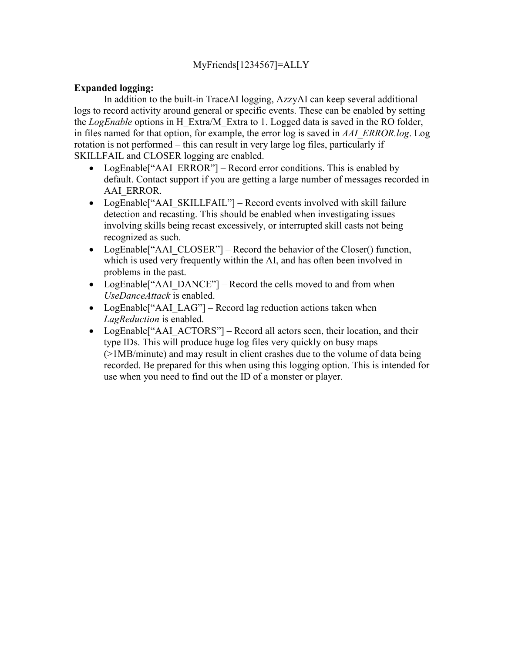### MyFriends[1234567]=ALLY

### **Expanded logging:**

 In addition to the built-in TraceAI logging, AzzyAI can keep several additional logs to record activity around general or specific events. These can be enabled by setting the *LogEnable* options in H\_Extra/M\_Extra to 1. Logged data is saved in the RO folder, in files named for that option, for example, the error log is saved in *AAI\_ERROR.log*. Log rotation is not performed – this can result in very large log files, particularly if SKILLFAIL and CLOSER logging are enabled.

- LogEnable<sup>["</sup>AAI\_ERROR"] Record error conditions. This is enabled by default. Contact support if you are getting a large number of messages recorded in AAI\_ERROR.
- LogEnable<sup>["</sup>AAI\_SKILLFAIL"] Record events involved with skill failure detection and recasting. This should be enabled when investigating issues involving skills being recast excessively, or interrupted skill casts not being recognized as such.
- LogEnable<sup>["</sup>AAI\_CLOSER"] Record the behavior of the Closer() function, which is used very frequently within the AI, and has often been involved in problems in the past.
- LogEnable<sup>["</sup>AAI\_DANCE"] Record the cells moved to and from when *UseDanceAttack* is enabled.
- LogEnable<sup>r</sup> AAI LAG"] Record lag reduction actions taken when *LagReduction* is enabled.
- LogEnable<sup>["</sup>AAI\_ACTORS"] Record all actors seen, their location, and their type IDs. This will produce huge log files very quickly on busy maps (>1MB/minute) and may result in client crashes due to the volume of data being recorded. Be prepared for this when using this logging option. This is intended for use when you need to find out the ID of a monster or player.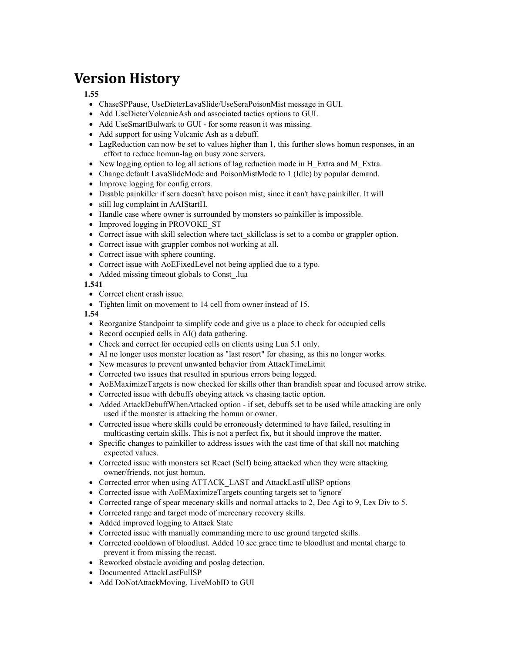# **Version History**

#### **1.55**

- ChaseSPPause, UseDieterLavaSlide/UseSeraPoisonMist message in GUI.
- Add UseDieterVolcanicAsh and associated tactics options to GUI.
- Add UseSmartBulwark to GUI for some reason it was missing.
- Add support for using Volcanic Ash as a debuff.
- LagReduction can now be set to values higher than 1, this further slows homun responses, in an effort to reduce homun-lag on busy zone servers.
- New logging option to log all actions of lag reduction mode in H\_Extra and M\_Extra.
- Change default LavaSlideMode and PoisonMistMode to 1 (Idle) by popular demand.
- Improve logging for config errors.
- Disable painkiller if sera doesn't have poison mist, since it can't have painkiller. It will
- still log complaint in AAIStartH.
- Handle case where owner is surrounded by monsters so painkiller is impossible.
- Improved logging in PROVOKE ST
- Correct issue with skill selection where tact skillclass is set to a combo or grappler option.
- Correct issue with grappler combos not working at all.
- Correct issue with sphere counting.
- Correct issue with AoEFixedLevel not being applied due to a typo.
- Added missing timeout globals to Const. lua

#### **1.541**

- Correct client crash issue.
- Tighten limit on movement to 14 cell from owner instead of 15.

**1.54**

- Reorganize Standpoint to simplify code and give us a place to check for occupied cells
- Record occupied cells in AI() data gathering.
- Check and correct for occupied cells on clients using Lua 5.1 only.
- AI no longer uses monster location as "last resort" for chasing, as this no longer works.
- New measures to prevent unwanted behavior from AttackTimeLimit
- Corrected two issues that resulted in spurious errors being logged.
- AoEMaximizeTargets is now checked for skills other than brandish spear and focused arrow strike.
- Corrected issue with debuffs obeying attack vs chasing tactic option.
- Added AttackDebuffWhenAttacked option if set, debuffs set to be used while attacking are only used if the monster is attacking the homun or owner.
- Corrected issue where skills could be erroneously determined to have failed, resulting in multicasting certain skills. This is not a perfect fix, but it should improve the matter.
- Specific changes to painkiller to address issues with the cast time of that skill not matching expected values.
- Corrected issue with monsters set React (Self) being attacked when they were attacking owner/friends, not just homun.
- Corrected error when using ATTACK\_LAST and AttackLastFullSP options
- Corrected issue with AoEMaximizeTargets counting targets set to 'ignore'
- Corrected range of spear mecenary skills and normal attacks to 2, Dec Agi to 9, Lex Div to 5.
- Corrected range and target mode of mercenary recovery skills.
- Added improved logging to Attack State
- Corrected issue with manually commanding merc to use ground targeted skills.
- Corrected cooldown of bloodlust. Added 10 sec grace time to bloodlust and mental charge to prevent it from missing the recast.
- Reworked obstacle avoiding and poslag detection.
- Documented AttackLastFullSP
- Add DoNotAttackMoving, LiveMobID to GUI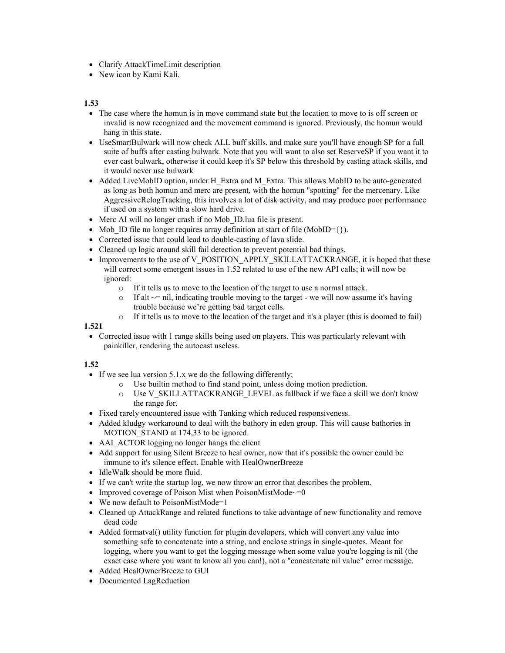- Clarify AttackTimeLimit description
- New icon by Kami Kali.

#### **1.53**

- The case where the homun is in move command state but the location to move to is off screen or invalid is now recognized and the movement command is ignored. Previously, the homun would hang in this state.
- UseSmartBulwark will now check ALL buff skills, and make sure you'll have enough SP for a full suite of buffs after casting bulwark. Note that you will want to also set ReserveSP if you want it to ever cast bulwark, otherwise it could keep it's SP below this threshold by casting attack skills, and it would never use bulwark
- Added LiveMobID option, under H\_Extra and M\_Extra. This allows MobID to be auto-generated as long as both homun and merc are present, with the homun "spotting" for the mercenary. Like AggressiveRelogTracking, this involves a lot of disk activity, and may produce poor performance if used on a system with a slow hard drive.
- Merc AI will no longer crash if no Mob ID.lua file is present.
- Mob ID file no longer requires array definition at start of file (MobID= $\{\}$ ).
- Corrected issue that could lead to double-casting of lava slide.
- Cleaned up logic around skill fail detection to prevent potential bad things.
- Improvements to the use of V\_POSITION\_APPLY\_SKILLATTACKRANGE, it is hoped that these will correct some emergent issues in 1.52 related to use of the new API calls; it will now be ignored:
	- o If it tells us to move to the location of the target to use a normal attack.
	- $\circ$  If alt  $\sim$ = nil, indicating trouble moving to the target we will now assume it's having trouble because we're getting bad target cells.
	- o If it tells us to move to the location of the target and it's a player (this is doomed to fail)

#### **1.521**

• Corrected issue with 1 range skills being used on players. This was particularly relevant with painkiller, rendering the autocast useless.

#### **1.52**

- If we see lua version 5.1.x we do the following differently:
	- o Use builtin method to find stand point, unless doing motion prediction.
	- $\circ$  Use V\_SKILLATTACKRANGE\_LEVEL as fallback if we face a skill we don't know the range for.
- Fixed rarely encountered issue with Tanking which reduced responsiveness.
- Added kludgy workaround to deal with the bathory in eden group. This will cause bathories in MOTION STAND at 174,33 to be ignored.
- AAI\_ACTOR logging no longer hangs the client
- Add support for using Silent Breeze to heal owner, now that it's possible the owner could be immune to it's silence effect. Enable with HealOwnerBreeze
- IdleWalk should be more fluid.
- If we can't write the startup log, we now throw an error that describes the problem.
- Improved coverage of Poison Mist when PoisonMistMode~=0
- We now default to PoisonMistMode=1
- Cleaned up AttackRange and related functions to take advantage of new functionality and remove dead code
- Added formatval() utility function for plugin developers, which will convert any value into something safe to concatenate into a string, and enclose strings in single-quotes. Meant for logging, where you want to get the logging message when some value you're logging is nil (the exact case where you want to know all you can!), not a "concatenate nil value" error message.
- Added HealOwnerBreeze to GUI
- Documented LagReduction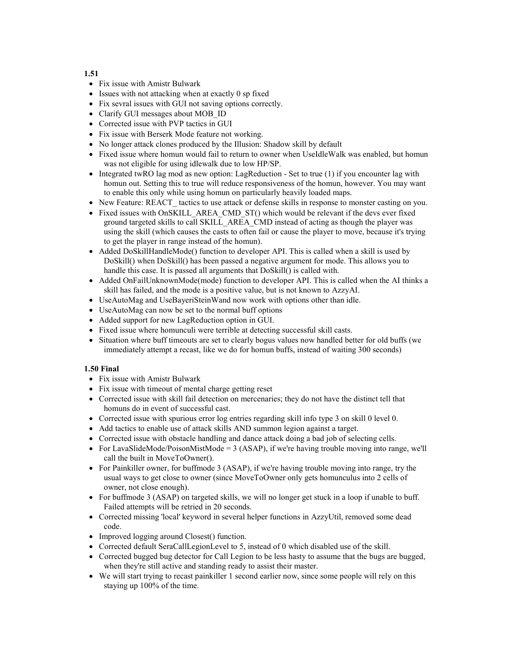**1.51** 

- Fix issue with Amistr Bulwark
- Issues with not attacking when at exactly 0 sp fixed
- Fix sevral issues with GUI not saving options correctly.
- Clarify GUI messages about MOB ID
- Corrected issue with PVP tactics in GUI
- Fix issue with Berserk Mode feature not working.
- No longer attack clones produced by the Illusion: Shadow skill by default
- Fixed issue where homun would fail to return to owner when UseIdleWalk was enabled, but homun was not eligible for using idlewalk due to low HP/SP.
- Integrated twRO lag mod as new option: LagReduction Set to true (1) if you encounter lag with homun out. Setting this to true will reduce responsiveness of the homun, however. You may want to enable this only while using homun on particularly heavily loaded maps.
- New Feature: REACT tactics to use attack or defense skills in response to monster casting on you.
- Fixed issues with OnSKILL\_AREA\_CMD\_ST() which would be relevant if the devs ever fixed ground targeted skills to call SKILL\_AREA\_CMD instead of acting as though the player was using the skill (which causes the casts to often fail or cause the player to move, because it's trying to get the player in range instead of the homun).
- Added DoSkillHandleMode() function to developer API. This is called when a skill is used by DoSkill() when DoSkill() has been passed a negative argument for mode. This allows you to handle this case. It is passed all arguments that DoSkill() is called with.
- Added OnFailUnknownMode(mode) function to developer API. This is called when the AI thinks a skill has failed, and the mode is a positive value, but is not known to AzzyAI.
- UseAutoMag and UseBayeriSteinWand now work with options other than idle.
- UseAutoMag can now be set to the normal buff options
- Added support for new LagReduction option in GUI.
- Fixed issue where homunculi were terrible at detecting successful skill casts.
- Situation where buff timeouts are set to clearly bogus values now handled better for old buffs (we immediately attempt a recast, like we do for homun buffs, instead of waiting 300 seconds)

#### **1.50 Final**

- Fix issue with Amistr Bulwark
- Fix issue with timeout of mental charge getting reset
- Corrected issue with skill fail detection on mercenaries; they do not have the distinct tell that homuns do in event of successful cast.
- Corrected issue with spurious error log entries regarding skill info type 3 on skill 0 level 0.
- Add tactics to enable use of attack skills AND summon legion against a target.
- Corrected issue with obstacle handling and dance attack doing a bad job of selecting cells.
- For LavaSlideMode/PoisonMistMode = 3 (ASAP), if we're having trouble moving into range, we'll call the built in MoveToOwner().
- For Painkiller owner, for buffmode 3 (ASAP), if we're having trouble moving into range, try the usual ways to get close to owner (since MoveToOwner only gets homunculus into 2 cells of owner, not close enough).
- For buffmode 3 (ASAP) on targeted skills, we will no longer get stuck in a loop if unable to buff. Failed attempts will be retried in 20 seconds.
- Corrected missing 'local' keyword in several helper functions in AzzyUtil, removed some dead code.
- Improved logging around Closest() function.
- Corrected default SeraCallLegionLevel to 5, instead of 0 which disabled use of the skill.
- Corrected bugged bug detector for Call Legion to be less hasty to assume that the bugs are bugged, when they're still active and standing ready to assist their master.
- We will start trying to recast painkiller 1 second earlier now, since some people will rely on this staying up 100% of the time.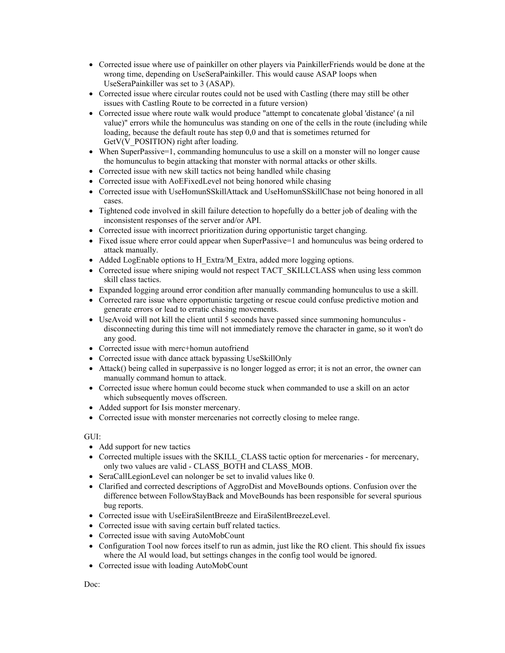- Corrected issue where use of painkiller on other players via PainkillerFriends would be done at the wrong time, depending on UseSeraPainkiller. This would cause ASAP loops when UseSeraPainkiller was set to 3 (ASAP).
- Corrected issue where circular routes could not be used with Castling (there may still be other issues with Castling Route to be corrected in a future version)
- Corrected issue where route walk would produce "attempt to concatenate global 'distance' (a nil value)" errors while the homunculus was standing on one of the cells in the route (including while loading, because the default route has step 0,0 and that is sometimes returned for GetV(V\_POSITION) right after loading.
- When SuperPassive=1, commanding homunculus to use a skill on a monster will no longer cause the homunculus to begin attacking that monster with normal attacks or other skills.
- Corrected issue with new skill tactics not being handled while chasing
- Corrected issue with AoEFixedLevel not being honored while chasing
- Corrected issue with UseHomunSSkillAttack and UseHomunSSkillChase not being honored in all cases.
- Tightened code involved in skill failure detection to hopefully do a better job of dealing with the inconsistent responses of the server and/or API.
- Corrected issue with incorrect prioritization during opportunistic target changing.
- Fixed issue where error could appear when SuperPassive=1 and homunculus was being ordered to attack manually.
- Added LogEnable options to H\_Extra/M\_Extra, added more logging options.
- Corrected issue where sniping would not respect TACT\_SKILLCLASS when using less common skill class tactics.
- Expanded logging around error condition after manually commanding homunculus to use a skill.
- Corrected rare issue where opportunistic targeting or rescue could confuse predictive motion and generate errors or lead to erratic chasing movements.
- UseAvoid will not kill the client until 5 seconds have passed since summoning homunculus disconnecting during this time will not immediately remove the character in game, so it won't do any good.
- Corrected issue with merc+homun autofriend
- Corrected issue with dance attack bypassing UseSkillOnly
- Attack() being called in superpassive is no longer logged as error; it is not an error, the owner can manually command homun to attack.
- Corrected issue where homun could become stuck when commanded to use a skill on an actor which subsequently moves offscreen.
- Added support for Isis monster mercenary.
- Corrected issue with monster mercenaries not correctly closing to melee range.

#### GUI:

- Add support for new tactics
- Corrected multiple issues with the SKILL CLASS tactic option for mercenaries for mercenary, only two values are valid - CLASS\_BOTH and CLASS\_MOB.
- SeraCallLegionLevel can nolonger be set to invalid values like 0.
- Clarified and corrected descriptions of AggroDist and MoveBounds options. Confusion over the difference between FollowStayBack and MoveBounds has been responsible for several spurious bug reports.
- Corrected issue with UseEiraSilentBreeze and EiraSilentBreezeLevel.
- Corrected issue with saving certain buff related tactics.
- Corrected issue with saving AutoMobCount
- Configuration Tool now forces itself to run as admin, just like the RO client. This should fix issues where the AI would load, but settings changes in the config tool would be ignored.
- Corrected issue with loading AutoMobCount

Doc: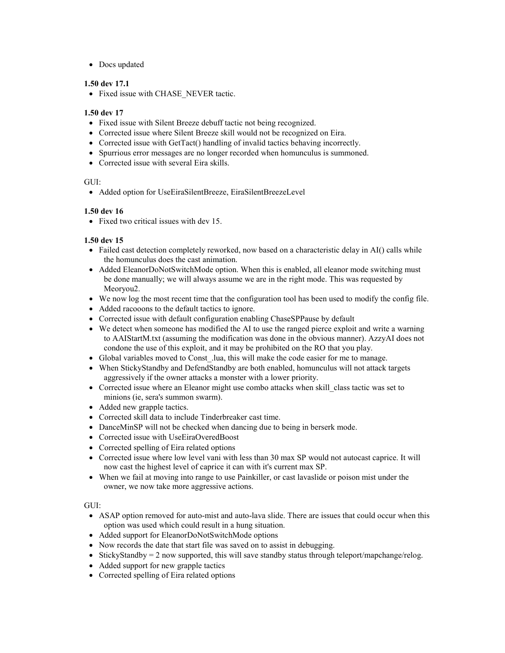• Docs updated

#### **1.50 dev 17.1**

• Fixed issue with CHASE\_NEVER tactic.

#### **1.50 dev 17**

- Fixed issue with Silent Breeze debuff tactic not being recognized.
- Corrected issue where Silent Breeze skill would not be recognized on Eira.
- Corrected issue with GetTact() handling of invalid tactics behaving incorrectly.
- Spurrious error messages are no longer recorded when homunculus is summoned.
- Corrected issue with several Eira skills.

#### GUI:

• Added option for UseEiraSilentBreeze, EiraSilentBreezeLevel

#### **1.50 dev 16**

• Fixed two critical issues with dev 15.

#### **1.50 dev 15**

- Failed cast detection completely reworked, now based on a characteristic delay in AI() calls while the homunculus does the cast animation.
- Added EleanorDoNotSwitchMode option. When this is enabled, all eleanor mode switching must be done manually; we will always assume we are in the right mode. This was requested by Meoryou2.
- We now log the most recent time that the configuration tool has been used to modify the config file.
- Added racooons to the default tactics to ignore.
- Corrected issue with default configuration enabling ChaseSPPause by default
- We detect when someone has modified the AI to use the ranged pierce exploit and write a warning to AAIStartM.txt (assuming the modification was done in the obvious manner). AzzyAI does not condone the use of this exploit, and it may be prohibited on the RO that you play.
- Global variables moved to Const .lua, this will make the code easier for me to manage.
- When StickyStandby and DefendStandby are both enabled, homunculus will not attack targets aggressively if the owner attacks a monster with a lower priority.
- Corrected issue where an Eleanor might use combo attacks when skill class tactic was set to minions (ie, sera's summon swarm).
- Added new grapple tactics.
- Corrected skill data to include Tinderbreaker cast time.
- DanceMinSP will not be checked when dancing due to being in berserk mode.
- Corrected issue with UseEiraOveredBoost
- Corrected spelling of Eira related options
- Corrected issue where low level vani with less than 30 max SP would not autocast caprice. It will now cast the highest level of caprice it can with it's current max SP.
- When we fail at moving into range to use Painkiller, or cast lavaslide or poison mist under the owner, we now take more aggressive actions.

 $GUE$ 

- ASAP option removed for auto-mist and auto-lava slide. There are issues that could occur when this option was used which could result in a hung situation.
- Added support for EleanorDoNotSwitchMode options
- Now records the date that start file was saved on to assist in debugging.
- StickyStandby  $= 2$  now supported, this will save standby status through teleport/mapchange/relog.
- Added support for new grapple tactics
- Corrected spelling of Eira related options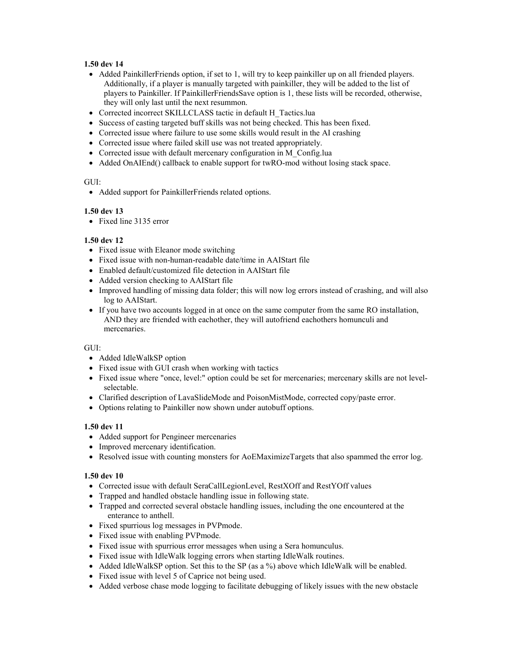#### **1.50 dev 14**

- Added PainkillerFriends option, if set to 1, will try to keep painkiller up on all friended players. Additionally, if a player is manually targeted with painkiller, they will be added to the list of players to Painkiller. If PainkillerFriendsSave option is 1, these lists will be recorded, otherwise, they will only last until the next resummon.
- Corrected incorrect SKILLCLASS tactic in default H\_Tactics.lua
- Success of casting targeted buff skills was not being checked. This has been fixed.
- Corrected issue where failure to use some skills would result in the AI crashing
- Corrected issue where failed skill use was not treated appropriately.
- Corrected issue with default mercenary configuration in M\_Config.lua
- Added OnAIEnd() callback to enable support for twRO-mod without losing stack space.

#### GUI:

• Added support for PainkillerFriends related options.

#### **1.50 dev 13**

• Fixed line 3135 error

#### **1.50 dev 12**

- Fixed issue with Eleanor mode switching
- Fixed issue with non-human-readable date/time in AAIStart file
- Enabled default/customized file detection in AAIStart file
- Added version checking to AAIStart file
- Improved handling of missing data folder; this will now log errors instead of crashing, and will also log to AAIStart.
- If you have two accounts logged in at once on the same computer from the same RO installation, AND they are friended with eachother, they will autofriend eachothers homunculi and mercenaries.

#### GUI:

- Added IdleWalkSP option
- Fixed issue with GUI crash when working with tactics
- Fixed issue where "once, level:" option could be set for mercenaries; mercenary skills are not levelselectable.
- Clarified description of LavaSlideMode and PoisonMistMode, corrected copy/paste error.
- Options relating to Painkiller now shown under autobuff options.

#### **1.50 dev 11**

- Added support for Pengineer mercenaries
- Improved mercenary identification.
- Resolved issue with counting monsters for AoEMaximizeTargets that also spammed the error log.

#### **1.50 dev 10**

- Corrected issue with default SeraCallLegionLevel, RestXOff and RestYOff values
- Trapped and handled obstacle handling issue in following state.
- Trapped and corrected several obstacle handling issues, including the one encountered at the enterance to anthell.
- Fixed spurrious log messages in PVPmode.
- Fixed issue with enabling PVPmode.
- Fixed issue with spurrious error messages when using a Sera homunculus.
- Fixed issue with IdleWalk logging errors when starting IdleWalk routines.
- Added IdleWalkSP option. Set this to the SP (as a %) above which IdleWalk will be enabled.
- Fixed issue with level 5 of Caprice not being used.
- Added verbose chase mode logging to facilitate debugging of likely issues with the new obstacle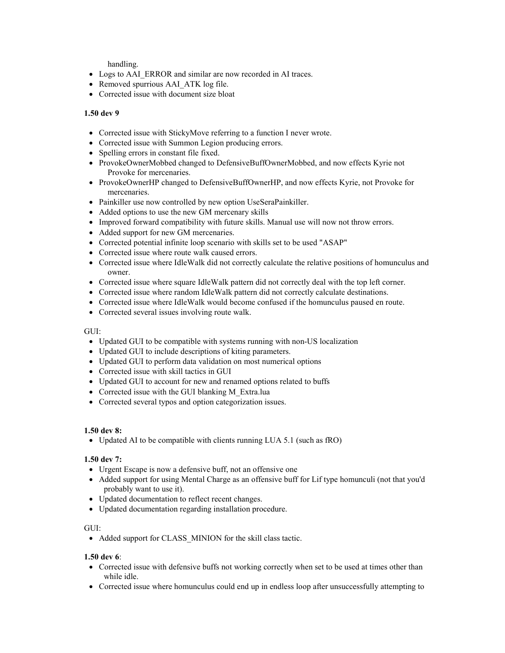handling.

- Logs to AAI\_ERROR and similar are now recorded in AI traces.
- Removed spurrious AAI ATK log file.
- Corrected issue with document size bloat

#### **1.50 dev 9**

- Corrected issue with StickyMove referring to a function I never wrote.
- Corrected issue with Summon Legion producing errors.
- Spelling errors in constant file fixed.
- ProvokeOwnerMobbed changed to DefensiveBuffOwnerMobbed, and now effects Kyrie not Provoke for mercenaries.
- ProvokeOwnerHP changed to DefensiveBuffOwnerHP, and now effects Kyrie, not Provoke for mercenaries.
- Painkiller use now controlled by new option UseSeraPainkiller.
- Added options to use the new GM mercenary skills
- Improved forward compatibility with future skills. Manual use will now not throw errors.
- Added support for new GM mercenaries.
- Corrected potential infinite loop scenario with skills set to be used "ASAP"
- Corrected issue where route walk caused errors.
- Corrected issue where IdleWalk did not correctly calculate the relative positions of homunculus and owner.
- Corrected issue where square IdleWalk pattern did not correctly deal with the top left corner.
- Corrected issue where random IdleWalk pattern did not correctly calculate destinations.
- Corrected issue where IdleWalk would become confused if the homunculus paused en route.
- Corrected several issues involving route walk.

#### GUI:

- Updated GUI to be compatible with systems running with non-US localization
- Updated GUI to include descriptions of kiting parameters.
- Updated GUI to perform data validation on most numerical options
- Corrected issue with skill tactics in GUI
- Updated GUI to account for new and renamed options related to buffs
- Corrected issue with the GUI blanking M\_Extra.lua
- Corrected several typos and option categorization issues.

#### **1.50 dev 8:**

• Updated AI to be compatible with clients running LUA 5.1 (such as fRO)

#### **1.50 dev 7:**

- Urgent Escape is now a defensive buff, not an offensive one
- Added support for using Mental Charge as an offensive buff for Lif type homunculi (not that you'd probably want to use it).
- Updated documentation to reflect recent changes.
- Updated documentation regarding installation procedure.

#### GUI:

• Added support for CLASS\_MINION for the skill class tactic.

#### **1.50 dev 6**:

- Corrected issue with defensive buffs not working correctly when set to be used at times other than while idle.
- Corrected issue where homunculus could end up in endless loop after unsuccessfully attempting to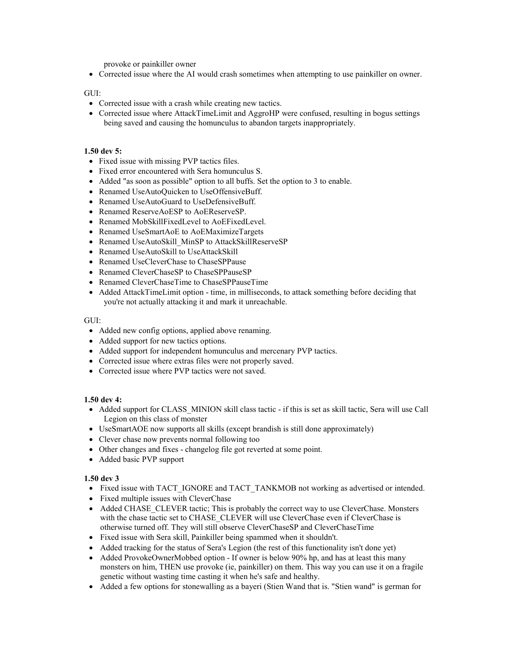provoke or painkiller owner

• Corrected issue where the AI would crash sometimes when attempting to use painkiller on owner.

#### GUI:

- Corrected issue with a crash while creating new tactics.
- Corrected issue where AttackTimeLimit and AggroHP were confused, resulting in bogus settings being saved and causing the homunculus to abandon targets inappropriately.

#### **1.50 dev 5:**

- Fixed issue with missing PVP tactics files.
- Fixed error encountered with Sera homunculus S.
- Added "as soon as possible" option to all buffs. Set the option to 3 to enable.
- Renamed UseAutoQuicken to UseOffensiveBuff.
- Renamed UseAutoGuard to UseDefensiveBuff.
- Renamed ReserveAoESP to AoEReserveSP.
- Renamed MobSkillFixedLevel to AoEFixedLevel.
- Renamed UseSmartAoE to AoEMaximizeTargets
- Renamed UseAutoSkill MinSP to AttackSkillReserveSP
- Renamed UseAutoSkill to UseAttackSkill
- Renamed UseCleverChase to ChaseSPPause
- Renamed CleverChaseSP to ChaseSPPauseSP
- Renamed CleverChaseTime to ChaseSPPauseTime
- Added AttackTimeLimit option time, in milliseconds, to attack something before deciding that you're not actually attacking it and mark it unreachable.

#### GUI:

- Added new config options, applied above renaming.
- Added support for new tactics options.
- Added support for independent homunculus and mercenary PVP tactics.
- Corrected issue where extras files were not properly saved.
- Corrected issue where PVP tactics were not saved.

#### **1.50 dev 4:**

- Added support for CLASS MINION skill class tactic if this is set as skill tactic, Sera will use Call Legion on this class of monster
- UseSmartAOE now supports all skills (except brandish is still done approximately)
- Clever chase now prevents normal following too
- Other changes and fixes changelog file got reverted at some point.
- Added basic PVP support

#### **1.50 dev 3**

- Fixed issue with TACT\_IGNORE and TACT\_TANKMOB not working as advertised or intended.
- Fixed multiple issues with CleverChase
- Added CHASE CLEVER tactic; This is probably the correct way to use CleverChase. Monsters with the chase tactic set to CHASE\_CLEVER will use CleverChase even if CleverChase is otherwise turned off. They will still observe CleverChaseSP and CleverChaseTime
- Fixed issue with Sera skill, Painkiller being spammed when it shouldn't.
- Added tracking for the status of Sera's Legion (the rest of this functionality isn't done yet)
- Added ProvokeOwnerMobbed option If owner is below 90% hp, and has at least this many monsters on him, THEN use provoke (ie, painkiller) on them. This way you can use it on a fragile genetic without wasting time casting it when he's safe and healthy.
- Added a few options for stonewalling as a bayeri (Stien Wand that is. "Stien wand" is german for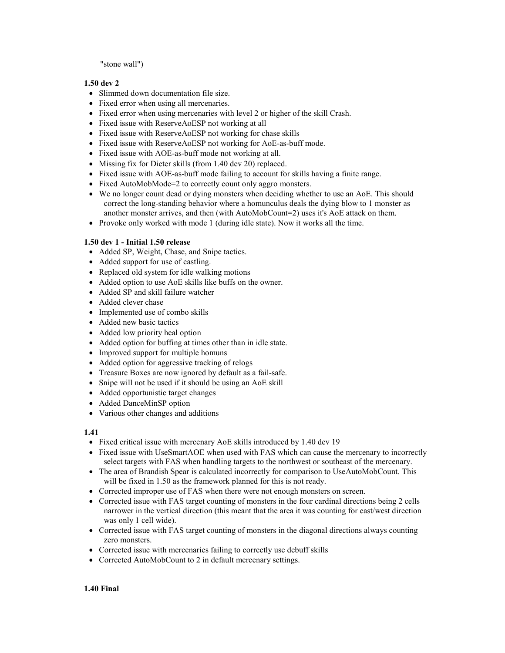#### "stone wall")

#### **1.50 dev 2**

- Slimmed down documentation file size.
- Fixed error when using all mercenaries.
- Fixed error when using mercenaries with level 2 or higher of the skill Crash.
- Fixed issue with ReserveAoESP not working at all
- Fixed issue with ReserveAoESP not working for chase skills
- Fixed issue with ReserveAoESP not working for AoE-as-buff mode.
- Fixed issue with AOE-as-buff mode not working at all.
- Missing fix for Dieter skills (from 1.40 dev 20) replaced.
- Fixed issue with AOE-as-buff mode failing to account for skills having a finite range.
- Fixed AutoMobMode=2 to correctly count only aggro monsters.
- We no longer count dead or dying monsters when deciding whether to use an AoE. This should correct the long-standing behavior where a homunculus deals the dying blow to 1 monster as another monster arrives, and then (with AutoMobCount=2) uses it's AoE attack on them.
- Provoke only worked with mode 1 (during idle state). Now it works all the time.

#### **1.50 dev 1 - Initial 1.50 release**

- Added SP, Weight, Chase, and Snipe tactics.
- Added support for use of castling.
- Replaced old system for idle walking motions
- Added option to use AoE skills like buffs on the owner.
- Added SP and skill failure watcher
- Added clever chase
- Implemented use of combo skills
- Added new basic tactics
- Added low priority heal option
- Added option for buffing at times other than in idle state.
- Improved support for multiple homuns
- Added option for aggressive tracking of relogs
- Treasure Boxes are now ignored by default as a fail-safe.
- Snipe will not be used if it should be using an AoE skill
- Added opportunistic target changes
- Added DanceMinSP option
- Various other changes and additions

#### **1.41**

- Fixed critical issue with mercenary AoE skills introduced by 1.40 dev 19
- Fixed issue with UseSmartAOE when used with FAS which can cause the mercenary to incorrectly select targets with FAS when handling targets to the northwest or southeast of the mercenary.
- The area of Brandish Spear is calculated incorrectly for comparison to UseAutoMobCount. This will be fixed in 1.50 as the framework planned for this is not ready.
- Corrected improper use of FAS when there were not enough monsters on screen.
- Corrected issue with FAS target counting of monsters in the four cardinal directions being 2 cells narrower in the vertical direction (this meant that the area it was counting for east/west direction was only 1 cell wide).
- Corrected issue with FAS target counting of monsters in the diagonal directions always counting zero monsters.
- Corrected issue with mercenaries failing to correctly use debuff skills
- Corrected AutoMobCount to 2 in default mercenary settings.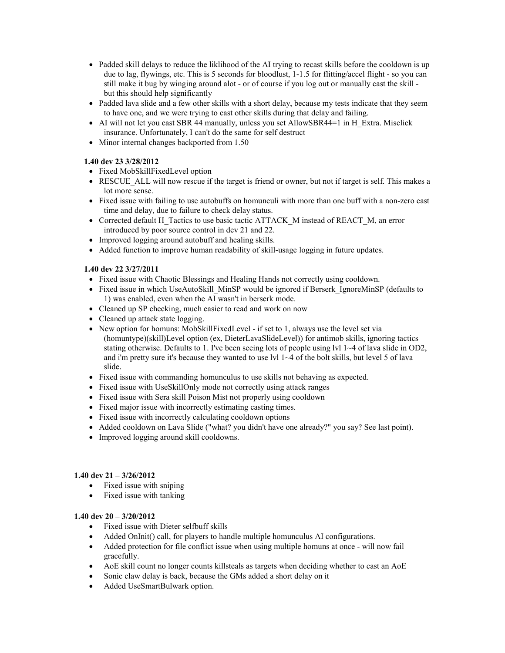- Padded skill delays to reduce the liklihood of the AI trying to recast skills before the cooldown is up due to lag, flywings, etc. This is 5 seconds for bloodlust, 1-1.5 for flitting/accel flight - so you can still make it bug by winging around alot - or of course if you log out or manually cast the skill but this should help significantly
- Padded lava slide and a few other skills with a short delay, because my tests indicate that they seem to have one, and we were trying to cast other skills during that delay and failing.
- AI will not let you cast SBR 44 manually, unless you set AllowSBR44=1 in H\_Extra. Misclick insurance. Unfortunately, I can't do the same for self destruct
- Minor internal changes backported from 1.50

#### **1.40 dev 23 3/28/2012**

- Fixed MobSkillFixedLevel option
- RESCUE ALL will now rescue if the target is friend or owner, but not if target is self. This makes a lot more sense.
- Fixed issue with failing to use autobuffs on homunculi with more than one buff with a non-zero cast time and delay, due to failure to check delay status.
- Corrected default H\_Tactics to use basic tactic ATTACK\_M instead of REACT\_M, an error introduced by poor source control in dev 21 and 22.
- Improved logging around autobuff and healing skills.
- Added function to improve human readability of skill-usage logging in future updates.

#### **1.40 dev 22 3/27/2011**

- Fixed issue with Chaotic Blessings and Healing Hands not correctly using cooldown.
- Fixed issue in which UseAutoSkill\_MinSP would be ignored if Berserk\_IgnoreMinSP (defaults to 1) was enabled, even when the AI wasn't in berserk mode.
- Cleaned up SP checking, much easier to read and work on now
- Cleaned up attack state logging.
- New option for homuns: MobSkillFixedLevel if set to 1, always use the level set via (homuntype)(skill)Level option (ex, DieterLavaSlideLevel)) for antimob skills, ignoring tactics stating otherwise. Defaults to 1. I've been seeing lots of people using lvl  $1~\sim$ 4 of lava slide in OD2, and i'm pretty sure it's because they wanted to use lvl 1~4 of the bolt skills, but level 5 of lava slide.
- Fixed issue with commanding homunculus to use skills not behaving as expected.
- Fixed issue with UseSkillOnly mode not correctly using attack ranges
- Fixed issue with Sera skill Poison Mist not properly using cooldown
- Fixed major issue with incorrectly estimating casting times.
- Fixed issue with incorrectly calculating cooldown options
- Added cooldown on Lava Slide ("what? you didn't have one already?" you say? See last point).
- Improved logging around skill cooldowns.

#### **1.40 dev 21 – 3/26/2012**

- Fixed issue with sniping
- Fixed issue with tanking

#### **1.40 dev 20 – 3/20/2012**

- Fixed issue with Dieter selfbuff skills
- Added OnInit() call, for players to handle multiple homunculus AI configurations.
- Added protection for file conflict issue when using multiple homuns at once will now fail gracefully.
- AoE skill count no longer counts killsteals as targets when deciding whether to cast an AoE
- Sonic claw delay is back, because the GMs added a short delay on it
- Added UseSmartBulwark option.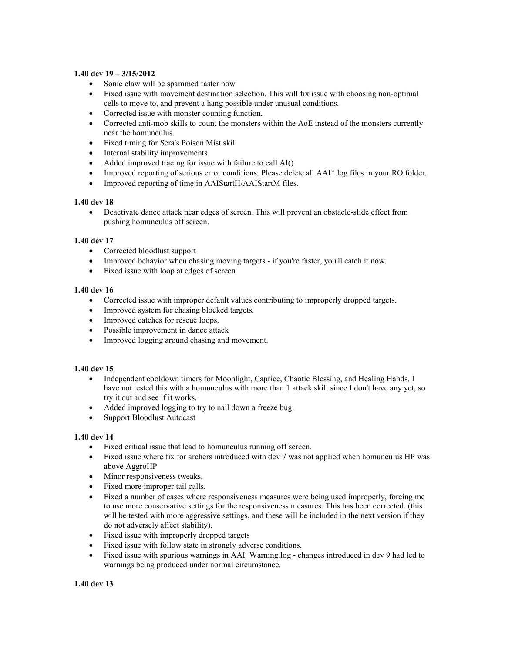#### **1.40 dev 19 – 3/15/2012**

- Sonic claw will be spammed faster now
- Fixed issue with movement destination selection. This will fix issue with choosing non-optimal cells to move to, and prevent a hang possible under unusual conditions.
- Corrected issue with monster counting function.
- Corrected anti-mob skills to count the monsters within the AoE instead of the monsters currently near the homunculus.
- Fixed timing for Sera's Poison Mist skill
- Internal stability improvements
- Added improved tracing for issue with failure to call AI()
- Improved reporting of serious error conditions. Please delete all AAI\*.log files in your RO folder.
- Improved reporting of time in AAIStartH/AAIStartM files.

#### **1.40 dev 18**

• Deactivate dance attack near edges of screen. This will prevent an obstacle-slide effect from pushing homunculus off screen.

#### **1.40 dev 17**

- Corrected bloodlust support
- Improved behavior when chasing moving targets if you're faster, you'll catch it now.
- Fixed issue with loop at edges of screen

#### **1.40 dev 16**

- Corrected issue with improper default values contributing to improperly dropped targets.
- Improved system for chasing blocked targets.
- Improved catches for rescue loops.
- Possible improvement in dance attack
- Improved logging around chasing and movement.

#### **1.40 dev 15**

- Independent cooldown timers for Moonlight, Caprice, Chaotic Blessing, and Healing Hands. I have not tested this with a homunculus with more than 1 attack skill since I don't have any yet, so try it out and see if it works.
- Added improved logging to try to nail down a freeze bug.
- Support Bloodlust Autocast

#### **1.40 dev 14**

- Fixed critical issue that lead to homunculus running off screen.
- Fixed issue where fix for archers introduced with dev 7 was not applied when homunculus HP was above AggroHP
- Minor responsiveness tweaks.
- Fixed more improper tail calls.
- Fixed a number of cases where responsiveness measures were being used improperly, forcing me to use more conservative settings for the responsiveness measures. This has been corrected. (this will be tested with more aggressive settings, and these will be included in the next version if they do not adversely affect stability).
- Fixed issue with improperly dropped targets
- Fixed issue with follow state in strongly adverse conditions.
- Fixed issue with spurious warnings in AAI\_Warning.log changes introduced in dev 9 had led to warnings being produced under normal circumstance.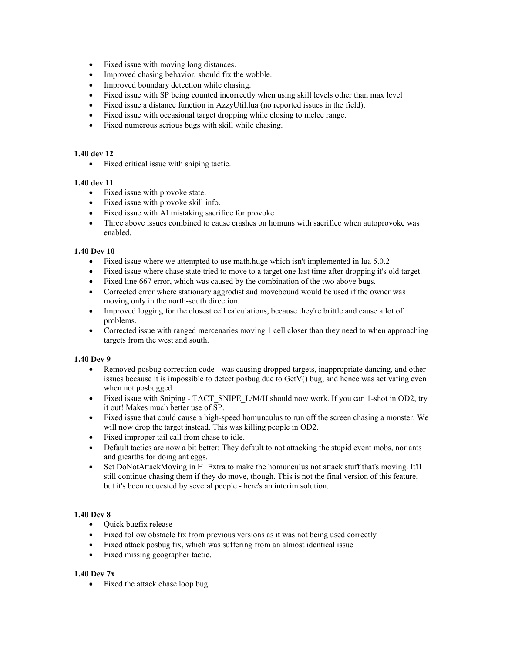- Fixed issue with moving long distances.
- Improved chasing behavior, should fix the wobble.
- Improved boundary detection while chasing.
- Fixed issue with SP being counted incorrectly when using skill levels other than max level
- Fixed issue a distance function in AzzyUtil.lua (no reported issues in the field).
- Fixed issue with occasional target dropping while closing to melee range.
- Fixed numerous serious bugs with skill while chasing.

#### **1.40 dev 12**

• Fixed critical issue with sniping tactic.

#### **1.40 dev 11**

- Fixed issue with provoke state.
- Fixed issue with provoke skill info.
- Fixed issue with AI mistaking sacrifice for provoke
- Three above issues combined to cause crashes on homuns with sacrifice when autoprovoke was enabled.

#### **1.40 Dev 10**

- Fixed issue where we attempted to use math.huge which isn't implemented in lua 5.0.2
- Fixed issue where chase state tried to move to a target one last time after dropping it's old target.
- Fixed line 667 error, which was caused by the combination of the two above bugs.
- Corrected error where stationary aggrodist and movebound would be used if the owner was moving only in the north-south direction.
- Improved logging for the closest cell calculations, because they're brittle and cause a lot of problems.
- Corrected issue with ranged mercenaries moving 1 cell closer than they need to when approaching targets from the west and south.

#### **1.40 Dev 9**

- Removed posbug correction code was causing dropped targets, inappropriate dancing, and other issues because it is impossible to detect posbug due to GetV() bug, and hence was activating even when not posbugged.
- Fixed issue with Sniping TACT\_SNIPE\_L/M/H should now work. If you can 1-shot in OD2, try it out! Makes much better use of SP.
- Fixed issue that could cause a high-speed homunculus to run off the screen chasing a monster. We will now drop the target instead. This was killing people in OD2.
- Fixed improper tail call from chase to idle.
- Default tactics are now a bit better: They default to not attacking the stupid event mobs, nor ants and giearths for doing ant eggs.
- Set DoNotAttackMoving in H\_Extra to make the homunculus not attack stuff that's moving. It'll still continue chasing them if they do move, though. This is not the final version of this feature, but it's been requested by several people - here's an interim solution.

#### **1.40 Dev 8**

- Quick bugfix release
- Fixed follow obstacle fix from previous versions as it was not being used correctly
- Fixed attack posbug fix, which was suffering from an almost identical issue
- Fixed missing geographer tactic.

#### **1.40 Dev 7x**

• Fixed the attack chase loop bug.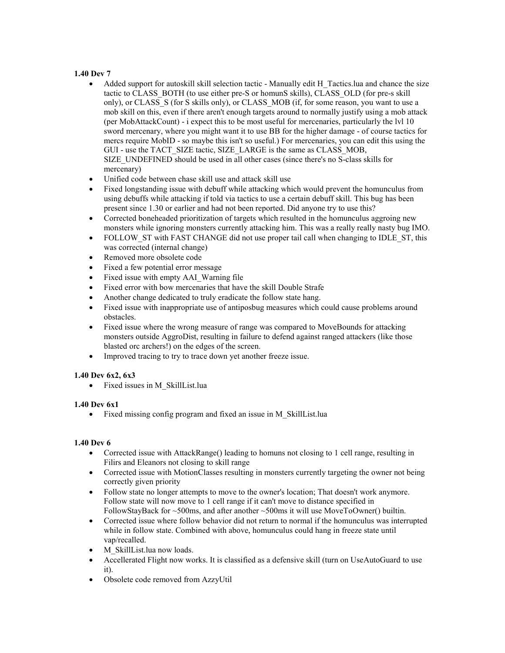#### **1.40 Dev 7**

- Added support for autoskill skill selection tactic Manually edit H\_Tactics.lua and chance the size tactic to CLASS\_BOTH (to use either pre-S or homunS skills), CLASS\_OLD (for pre-s skill only), or CLASS\_S (for S skills only), or CLASS\_MOB (if, for some reason, you want to use a mob skill on this, even if there aren't enough targets around to normally justify using a mob attack (per MobAttackCount) - i expect this to be most useful for mercenaries, particularly the lvl 10 sword mercenary, where you might want it to use BB for the higher damage - of course tactics for mercs require MobID - so maybe this isn't so useful.) For mercenaries, you can edit this using the GUI - use the TACT\_SIZE tactic, SIZE\_LARGE is the same as CLASS\_MOB, SIZE\_UNDEFINED should be used in all other cases (since there's no S-class skills for mercenary)
- Unified code between chase skill use and attack skill use
- Fixed longstanding issue with debuff while attacking which would prevent the homunculus from using debuffs while attacking if told via tactics to use a certain debuff skill. This bug has been present since 1.30 or earlier and had not been reported. Did anyone try to use this?
- Corrected boneheaded prioritization of targets which resulted in the homunculus aggroing new monsters while ignoring monsters currently attacking him. This was a really really nasty bug IMO.
- FOLLOW ST with FAST CHANGE did not use proper tail call when changing to IDLE ST, this was corrected (internal change)
- Removed more obsolete code
- Fixed a few potential error message
- Fixed issue with empty AAI Warning file
- Fixed error with bow mercenaries that have the skill Double Strafe
- Another change dedicated to truly eradicate the follow state hang.
- Fixed issue with inappropriate use of antiposbug measures which could cause problems around obstacles.
- Fixed issue where the wrong measure of range was compared to MoveBounds for attacking monsters outside AggroDist, resulting in failure to defend against ranged attackers (like those blasted orc archers!) on the edges of the screen.
- Improved tracing to try to trace down yet another freeze issue.

#### **1.40 Dev 6x2, 6x3**

• Fixed issues in M\_SkillList.lua

#### **1.40 Dev 6x1**

• Fixed missing config program and fixed an issue in M\_SkillList.lua

#### **1.40 Dev 6**

- Corrected issue with AttackRange() leading to homuns not closing to 1 cell range, resulting in Filirs and Eleanors not closing to skill range
- Corrected issue with MotionClasses resulting in monsters currently targeting the owner not being correctly given priority
- Follow state no longer attempts to move to the owner's location; That doesn't work anymore. Follow state will now move to 1 cell range if it can't move to distance specified in FollowStayBack for ~500ms, and after another ~500ms it will use MoveToOwner() builtin.
- Corrected issue where follow behavior did not return to normal if the homunculus was interrupted while in follow state. Combined with above, homunculus could hang in freeze state until vap/recalled.
- M\_SkillList.lua now loads.
- Accellerated Flight now works. It is classified as a defensive skill (turn on UseAutoGuard to use it).
- Obsolete code removed from AzzyUtil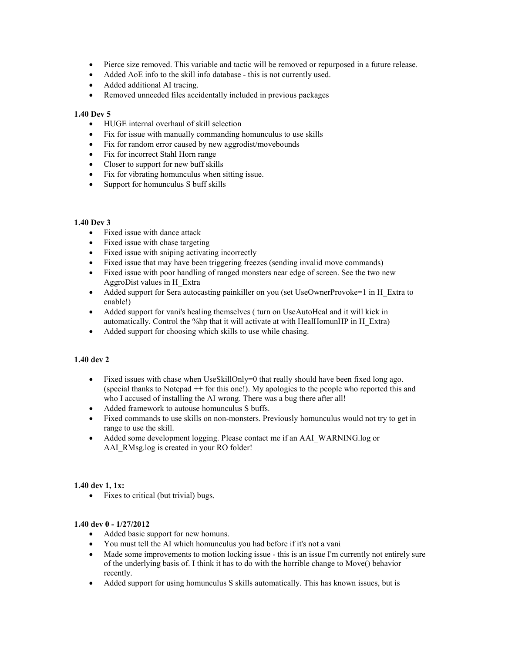- Pierce size removed. This variable and tactic will be removed or repurposed in a future release.
- Added AoE info to the skill info database this is not currently used.
- Added additional AI tracing.
- Removed unneeded files accidentally included in previous packages

#### **1.40 Dev 5**

- HUGE internal overhaul of skill selection
- Fix for issue with manually commanding homunculus to use skills
- Fix for random error caused by new aggrodist/movebounds
- Fix for incorrect Stahl Horn range
- Closer to support for new buff skills
- Fix for vibrating homunculus when sitting issue.
- Support for homunculus S buff skills

#### **1.40 Dev 3**

- Fixed issue with dance attack
- Fixed issue with chase targeting
- Fixed issue with sniping activating incorrectly
- Fixed issue that may have been triggering freezes (sending invalid move commands)
- Fixed issue with poor handling of ranged monsters near edge of screen. See the two new AggroDist values in H\_Extra
- Added support for Sera autocasting painkiller on you (set UseOwnerProvoke=1 in H\_Extra to enable!)
- Added support for vani's healing themselves ( turn on UseAutoHeal and it will kick in automatically. Control the %hp that it will activate at with HealHomunHP in H\_Extra)
- Added support for choosing which skills to use while chasing.

#### **1.40 dev 2**

- Fixed issues with chase when UseSkillOnly=0 that really should have been fixed long ago. (special thanks to Notepad ++ for this one!). My apologies to the people who reported this and who I accused of installing the AI wrong. There was a bug there after all!
- Added framework to autouse homunculus S buffs.
- Fixed commands to use skills on non-monsters. Previously homunculus would not try to get in range to use the skill.
- Added some development logging. Please contact me if an AAI\_WARNING.log or AAI\_RMsg.log is created in your RO folder!

#### **1.40 dev 1, 1x:**

• Fixes to critical (but trivial) bugs.

#### **1.40 dev 0 - 1/27/2012**

- Added basic support for new homuns.
- You must tell the AI which homunculus you had before if it's not a vani
- Made some improvements to motion locking issue this is an issue I'm currently not entirely sure of the underlying basis of. I think it has to do with the horrible change to Move() behavior recently.
- Added support for using homunculus S skills automatically. This has known issues, but is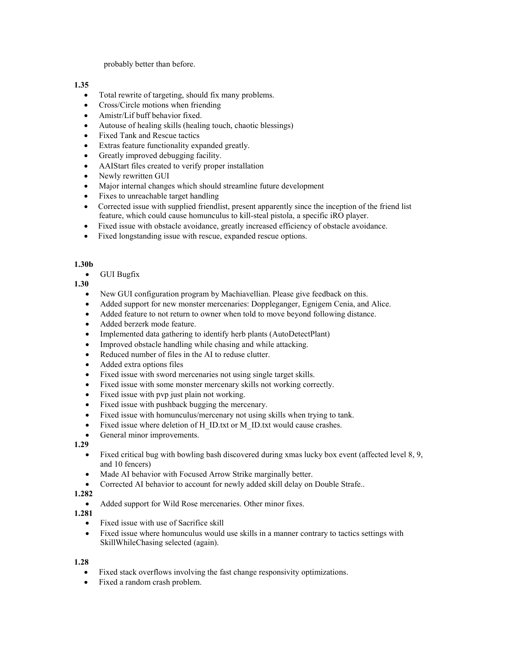probably better than before.

#### **1.35**

- Total rewrite of targeting, should fix many problems.
- Cross/Circle motions when friending
- Amistr/Lif buff behavior fixed.
- Autouse of healing skills (healing touch, chaotic blessings)
- Fixed Tank and Rescue tactics
- Extras feature functionality expanded greatly.
- Greatly improved debugging facility.
- AAIStart files created to verify proper installation
- Newly rewritten GUI
- Major internal changes which should streamline future development
- Fixes to unreachable target handling
- Corrected issue with supplied friendlist, present apparently since the inception of the friend list feature, which could cause homunculus to kill-steal pistola, a specific iRO player.
- Fixed issue with obstacle avoidance, greatly increased efficiency of obstacle avoidance.
- Fixed longstanding issue with rescue, expanded rescue options.

#### **1.30b**

• GUI Bugfix

**1.30** 

- New GUI configuration program by Machiavellian. Please give feedback on this.
- Added support for new monster mercenaries: Doppleganger, Egnigem Cenia, and Alice.
- Added feature to not return to owner when told to move beyond following distance.
- Added berzerk mode feature.
- Implemented data gathering to identify herb plants (AutoDetectPlant)
- Improved obstacle handling while chasing and while attacking.
- Reduced number of files in the AI to reduse clutter.
- Added extra options files
- Fixed issue with sword mercenaries not using single target skills.
- Fixed issue with some monster mercenary skills not working correctly.
- Fixed issue with pvp just plain not working.
- Fixed issue with pushback bugging the mercenary.
- Fixed issue with homunculus/mercenary not using skills when trying to tank.
- Fixed issue where deletion of H\_ID.txt or M\_ID.txt would cause crashes.
- General minor improvements.

**1.29** 

- Fixed critical bug with bowling bash discovered during xmas lucky box event (affected level 8, 9, and 10 fencers)
- Made AI behavior with Focused Arrow Strike marginally better.
- Corrected AI behavior to account for newly added skill delay on Double Strafe..

#### **1.282**

- Added support for Wild Rose mercenaries. Other minor fixes.
- **1.281** 
	- Fixed issue with use of Sacrifice skill
	- Fixed issue where homunculus would use skills in a manner contrary to tactics settings with SkillWhileChasing selected (again).

#### **1.28**

- Fixed stack overflows involving the fast change responsivity optimizations.
- Fixed a random crash problem.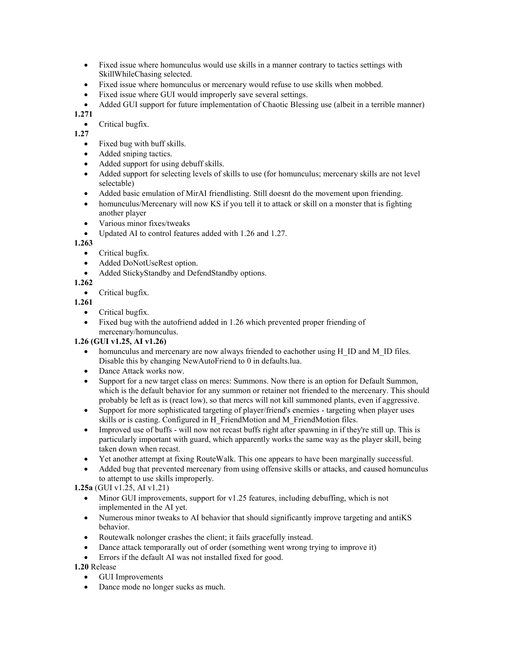- Fixed issue where homunculus would use skills in a manner contrary to tactics settings with SkillWhileChasing selected.
- Fixed issue where homunculus or mercenary would refuse to use skills when mobbed.
- Fixed issue where GUI would improperly save several settings.
- Added GUI support for future implementation of Chaotic Blessing use (albeit in a terrible manner)

**1.271** 

• Critical bugfix.

**1.27** 

- Fixed bug with buff skills.
- Added sniping tactics.
- Added support for using debuff skills.
- Added support for selecting levels of skills to use (for homunculus; mercenary skills are not level selectable)
- Added basic emulation of MirAI friendlisting. Still doesnt do the movement upon friending.
- homunculus/Mercenary will now KS if you tell it to attack or skill on a monster that is fighting another player
- Various minor fixes/tweaks
- Updated AI to control features added with 1.26 and 1.27.

**1.263** 

- Critical bugfix.
- Added DoNotUseRest option.
- Added StickyStandby and DefendStandby options.

#### **1.262**

• Critical bugfix.

#### **1.261**

- Critical bugfix.
- Fixed bug with the autofriend added in 1.26 which prevented proper friending of mercenary/homunculus.

#### **1.26 (GUI v1.25, AI v1.26)**

- homunculus and mercenary are now always friended to eachother using H\_ID and M\_ID files. Disable this by changing NewAutoFriend to 0 in defaults.lua.
- Dance Attack works now.
- Support for a new target class on mercs: Summons. Now there is an option for Default Summon, which is the default behavior for any summon or retainer not friended to the mercenary. This should probably be left as is (react low), so that mercs will not kill summoned plants, even if aggressive.
- Support for more sophisticated targeting of player/friend's enemies targeting when player uses skills or is casting. Configured in H\_FriendMotion and M\_FriendMotion files.
- Improved use of buffs will now not recast buffs right after spawning in if they're still up. This is particularly important with guard, which apparently works the same way as the player skill, being taken down when recast.
- Yet another attempt at fixing RouteWalk. This one appears to have been marginally successful.
- Added bug that prevented mercenary from using offensive skills or attacks, and caused homunculus to attempt to use skills improperly.

**1.25a** (GUI v1.25, AI v1.21)

- Minor GUI improvements, support for v1.25 features, including debuffing, which is not implemented in the AI yet.
- Numerous minor tweaks to AI behavior that should significantly improve targeting and antiKS behavior.
- Routewalk nolonger crashes the client; it fails gracefully instead.
- Dance attack temporarally out of order (something went wrong trying to improve it)
- Errors if the default AI was not installed fixed for good.

**1.20** Release

- GUI Improvements
- Dance mode no longer sucks as much.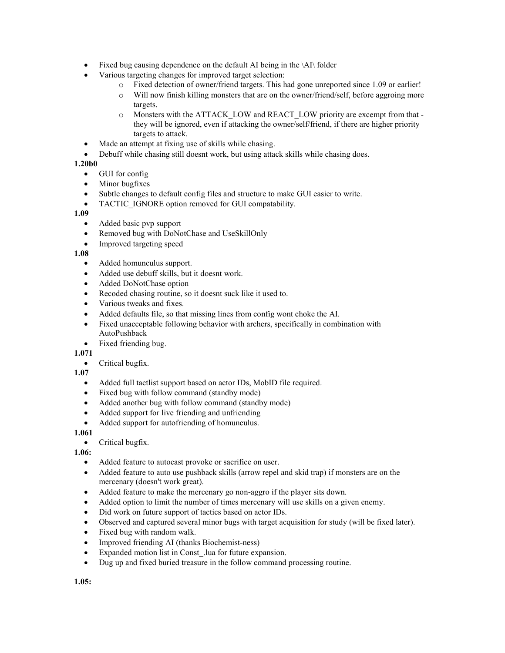- Fixed bug causing dependence on the default AI being in the \AI\ folder
- Various targeting changes for improved target selection:
	- o Fixed detection of owner/friend targets. This had gone unreported since 1.09 or earlier!
	- o Will now finish killing monsters that are on the owner/friend/self, before aggroing more targets.
	- o Monsters with the ATTACK\_LOW and REACT\_LOW priority are excempt from that they will be ignored, even if attacking the owner/self/friend, if there are higher priority targets to attack.
- Made an attempt at fixing use of skills while chasing.
- Debuff while chasing still doesnt work, but using attack skills while chasing does.

#### **1.20b0**

- GUI for config
- Minor bugfixes
- Subtle changes to default config files and structure to make GUI easier to write.
- TACTIC IGNORE option removed for GUI compatability.

#### **1.09**

- Added basic pvp support
- Removed bug with DoNotChase and UseSkillOnly
- Improved targeting speed

#### **1.08**

- Added homunculus support.
- Added use debuff skills, but it doesnt work.
- Added DoNotChase option
- Recoded chasing routine, so it doesnt suck like it used to.
- Various tweaks and fixes.
- Added defaults file, so that missing lines from config wont choke the AI.
- Fixed unacceptable following behavior with archers, specifically in combination with AutoPushback
- Fixed friending bug.

#### **1.071**

• Critical bugfix.

#### **1.07**

- Added full tactlist support based on actor IDs, MobID file required.
- Fixed bug with follow command (standby mode)
- Added another bug with follow command (standby mode)
- Added support for live friending and unfriending
- Added support for autofriending of homunculus.

#### **1.061**

• Critical bugfix.

#### **1.06:**

- Added feature to autocast provoke or sacrifice on user.
- Added feature to auto use pushback skills (arrow repel and skid trap) if monsters are on the mercenary (doesn't work great).
- Added feature to make the mercenary go non-aggro if the player sits down.
- Added option to limit the number of times mercenary will use skills on a given enemy.
- Did work on future support of tactics based on actor IDs.
- Observed and captured several minor bugs with target acquisition for study (will be fixed later).
- Fixed bug with random walk.
- Improved friending AI (thanks Biochemist-ness)
- Expanded motion list in Const .lua for future expansion.
- Dug up and fixed buried treasure in the follow command processing routine.